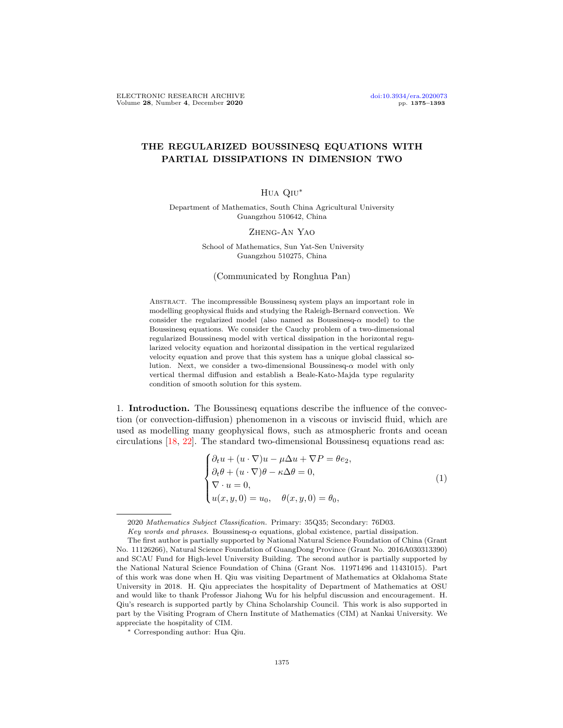# THE REGULARIZED BOUSSINESQ EQUATIONS WITH PARTIAL DISSIPATIONS IN DIMENSION TWO

## Hua Qiu∗

Department of Mathematics, South China Agricultural University Guangzhou 510642, China

#### Zheng-An Yao

School of Mathematics, Sun Yat-Sen University Guangzhou 510275, China

#### (Communicated by Ronghua Pan)

Abstract. The incompressible Boussinesq system plays an important role in modelling geophysical fluids and studying the Raleigh-Bernard convection. We consider the regularized model (also named as Boussinesq- $\alpha$  model) to the Boussinesq equations. We consider the Cauchy problem of a two-dimensional regularized Boussinesq model with vertical dissipation in the horizontal regularized velocity equation and horizontal dissipation in the vertical regularized velocity equation and prove that this system has a unique global classical solution. Next, we consider a two-dimensional Boussinesq- $\alpha$  model with only vertical thermal diffusion and establish a Beale-Kato-Majda type regularity condition of smooth solution for this system.

1. Introduction. The Boussinesq equations describe the influence of the convection (or convection-diffusion) phenomenon in a viscous or inviscid fluid, which are used as modelling many geophysical flows, such as atmospheric fronts and ocean circulations [\[18,](#page-18-0) [22\]](#page-18-1). The standard two-dimensional Boussinesq equations read as:

<span id="page-0-0"></span>
$$
\begin{cases}\n\partial_t u + (u \cdot \nabla)u - \mu \Delta u + \nabla P = \theta e_2, \\
\partial_t \theta + (u \cdot \nabla)\theta - \kappa \Delta \theta = 0, \\
\nabla \cdot u = 0, \\
u(x, y, 0) = u_0, \quad \theta(x, y, 0) = \theta_0,\n\end{cases}
$$
\n(1)

<sup>2020</sup> Mathematics Subject Classification. Primary: 35Q35; Secondary: 76D03.

Key words and phrases. Boussinesq- $\alpha$  equations, global existence, partial dissipation.

The first author is partially supported by National Natural Science Foundation of China (Grant No. 11126266), Natural Science Foundation of GuangDong Province (Grant No. 2016A030313390) and SCAU Fund for High-level University Building. The second author is partially supported by the National Natural Science Foundation of China (Grant Nos. 11971496 and 11431015). Part of this work was done when H. Qiu was visiting Department of Mathematics at Oklahoma State University in 2018. H. Qiu appreciates the hospitality of Department of Mathematics at OSU and would like to thank Professor Jiahong Wu for his helpful discussion and encouragement. H. Qiu's research is supported partly by China Scholarship Council. This work is also supported in part by the Visiting Program of Chern Institute of Mathematics (CIM) at Nankai University. We appreciate the hospitality of CIM.

<sup>∗</sup> Corresponding author: Hua Qiu.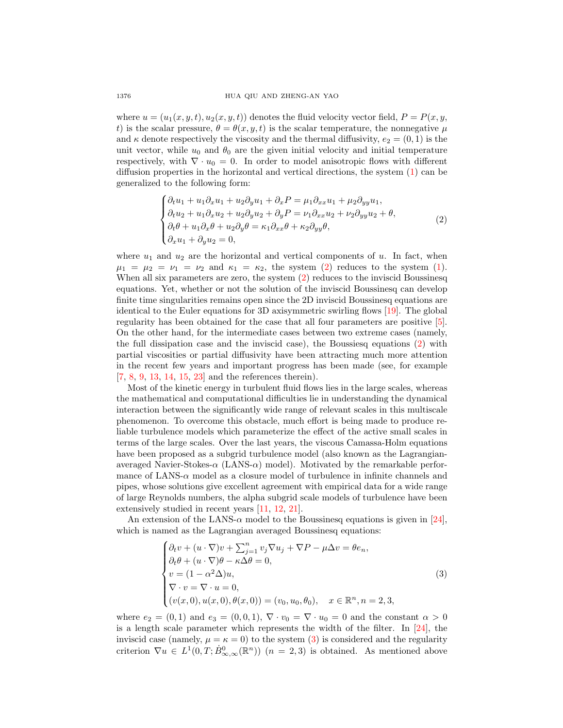where  $u = (u_1(x, y, t), u_2(x, y, t))$  denotes the fluid velocity vector field,  $P = P(x, y, t)$ t) is the scalar pressure,  $\theta = \theta(x, y, t)$  is the scalar temperature, the nonnegative  $\mu$ and  $\kappa$  denote respectively the viscosity and the thermal diffusivity,  $e_2 = (0, 1)$  is the unit vector, while  $u_0$  and  $\theta_0$  are the given initial velocity and initial temperature respectively, with  $\nabla \cdot u_0 = 0$ . In order to model anisotropic flows with different diffusion properties in the horizontal and vertical directions, the system [\(1\)](#page-0-0) can be generalized to the following form:

<span id="page-1-0"></span>
$$
\begin{cases}\n\partial_t u_1 + u_1 \partial_x u_1 + u_2 \partial_y u_1 + \partial_x P = \mu_1 \partial_{xx} u_1 + \mu_2 \partial_{yy} u_1, \\
\partial_t u_2 + u_1 \partial_x u_2 + u_2 \partial_y u_2 + \partial_y P = \nu_1 \partial_{xx} u_2 + \nu_2 \partial_{yy} u_2 + \theta, \\
\partial_t \theta + u_1 \partial_x \theta + u_2 \partial_y \theta = \kappa_1 \partial_{xx} \theta + \kappa_2 \partial_{yy} \theta, \\
\partial_x u_1 + \partial_y u_2 = 0,\n\end{cases} \tag{2}
$$

where  $u_1$  and  $u_2$  are the horizontal and vertical components of u. In fact, when  $\mu_1 = \mu_2 = \nu_1 = \nu_2$  and  $\kappa_1 = \kappa_2$ , the system [\(2\)](#page-1-0) reduces to the system [\(1\)](#page-0-0). When all six parameters are zero, the system [\(2\)](#page-1-0) reduces to the inviscid Boussinesq equations. Yet, whether or not the solution of the inviscid Boussinesq can develop finite time singularities remains open since the 2D inviscid Boussinesq equations are identical to the Euler equations for 3D axisymmetric swirling flows [\[19\]](#page-18-2). The global regularity has been obtained for the case that all four parameters are positive [\[5\]](#page-18-3). On the other hand, for the intermediate cases between two extreme cases (namely, the full dissipation case and the inviscid case), the Boussiesq equations [\(2\)](#page-1-0) with partial viscosities or partial diffusivity have been attracting much more attention in the recent few years and important progress has been made (see, for example [\[7,](#page-18-4) [8,](#page-18-5) [9,](#page-18-6) [13,](#page-18-7) [14,](#page-18-8) [15,](#page-18-9) [23\]](#page-18-10) and the references therein).

Most of the kinetic energy in turbulent fluid flows lies in the large scales, whereas the mathematical and computational difficulties lie in understanding the dynamical interaction between the significantly wide range of relevant scales in this multiscale phenomenon. To overcome this obstacle, much effort is being made to produce reliable turbulence models which parameterize the effect of the active small scales in terms of the large scales. Over the last years, the viscous Camassa-Holm equations have been proposed as a subgrid turbulence model (also known as the Lagrangianaveraged Navier-Stokes- $\alpha$  (LANS- $\alpha$ ) model). Motivated by the remarkable performance of LANS- $\alpha$  model as a closure model of turbulence in infinite channels and pipes, whose solutions give excellent agreement with empirical data for a wide range of large Reynolds numbers, the alpha subgrid scale models of turbulence have been extensively studied in recent years [\[11,](#page-18-11) [12,](#page-18-12) [21\]](#page-18-13).

An extension of the LANS- $\alpha$  model to the Boussinesq equations is given in [\[24\]](#page-18-14), which is named as the Lagrangian averaged Boussinesq equations:

<span id="page-1-1"></span>
$$
\begin{cases}\n\partial_t v + (u \cdot \nabla)v + \sum_{j=1}^n v_j \nabla u_j + \nabla P - \mu \Delta v = \theta e_n, \\
\partial_t \theta + (u \cdot \nabla)\theta - \kappa \Delta \theta = 0, \\
v = (1 - \alpha^2 \Delta)u, \\
\nabla \cdot v = \nabla \cdot u = 0, \\
(v(x, 0), u(x, 0), \theta(x, 0)) = (v_0, u_0, \theta_0), \quad x \in \mathbb{R}^n, n = 2, 3,\n\end{cases}
$$
\n(3)

where  $e_2 = (0,1)$  and  $e_3 = (0,0,1)$ ,  $\nabla \cdot v_0 = \nabla \cdot u_0 = 0$  and the constant  $\alpha > 0$ is a length scale parameter which represents the width of the filter. In [\[24\]](#page-18-14), the inviscid case (namely,  $\mu = \kappa = 0$ ) to the system [\(3\)](#page-1-1) is considered and the regularity criterion  $\nabla u \in L^1(0,T;\dot{B}_{\infty,\infty}^0(\mathbb{R}^n))$   $(n = 2,3)$  is obtained. As mentioned above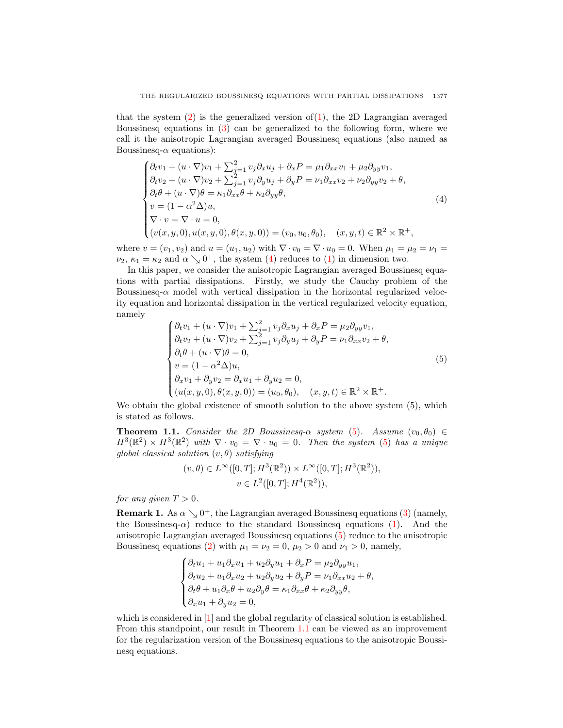that the system  $(2)$  is the generalized version of  $(1)$ , the 2D Lagrangian averaged Boussinesq equations in [\(3\)](#page-1-1) can be generalized to the following form, where we call it the anisotropic Lagrangian averaged Boussinesq equations (also named as Boussinesq- $\alpha$  equations):

<span id="page-2-0"></span>
$$
\begin{cases}\n\partial_t v_1 + (u \cdot \nabla) v_1 + \sum_{j=1}^2 v_j \partial_x u_j + \partial_x P = \mu_1 \partial_{xx} v_1 + \mu_2 \partial_{yy} v_1, \\
\partial_t v_2 + (u \cdot \nabla) v_2 + \sum_{j=1}^2 v_j \partial_y u_j + \partial_y P = \nu_1 \partial_{xx} v_2 + \nu_2 \partial_{yy} v_2 + \theta, \\
\partial_t \theta + (u \cdot \nabla) \theta = \kappa_1 \partial_{xx} \theta + \kappa_2 \partial_{yy} \theta, \\
v = (1 - \alpha^2 \Delta) u, \\
\nabla \cdot v = \nabla \cdot u = 0, \\
(v(x, y, 0), u(x, y, 0), \theta(x, y, 0)) = (v_0, u_0, \theta_0), \quad (x, y, t) \in \mathbb{R}^2 \times \mathbb{R}^+, \n\end{cases}
$$
\n(4)

where  $v = (v_1, v_2)$  and  $u = (u_1, u_2)$  with  $\nabla \cdot v_0 = \nabla \cdot u_0 = 0$ . When  $\mu_1 = \mu_2 = \nu_1 =$  $\nu_2, \kappa_1 = \kappa_2$  and  $\alpha \searrow 0^+,$  the system [\(4\)](#page-2-0) reduces to [\(1\)](#page-0-0) in dimension two.

In this paper, we consider the anisotropic Lagrangian averaged Boussinesq equations with partial dissipations. Firstly, we study the Cauchy problem of the Boussinesq- $\alpha$  model with vertical dissipation in the horizontal regularized velocity equation and horizontal dissipation in the vertical regularized velocity equation, namely

<span id="page-2-1"></span>
$$
\begin{cases}\n\partial_t v_1 + (u \cdot \nabla) v_1 + \sum_{j=1}^2 v_j \partial_x u_j + \partial_x P = \mu_2 \partial_{yy} v_1, \\
\partial_t v_2 + (u \cdot \nabla) v_2 + \sum_{j=1}^2 v_j \partial_y u_j + \partial_y P = \nu_1 \partial_{xx} v_2 + \theta, \\
\partial_t \theta + (u \cdot \nabla) \theta = 0, \\
v = (1 - \alpha^2 \Delta) u, \\
\partial_x v_1 + \partial_y v_2 = \partial_x u_1 + \partial_y u_2 = 0, \\
(u(x, y, 0), \theta(x, y, 0)) = (u_0, \theta_0), \quad (x, y, t) \in \mathbb{R}^2 \times \mathbb{R}^+. \n\end{cases}
$$
\n(5)

We obtain the global existence of smooth solution to the above system  $(5)$ , which is stated as follows.

<span id="page-2-2"></span>**Theorem 1.1.** Consider the 2D Boussinesq- $\alpha$  system [\(5\)](#page-2-1). Assume  $(v_0, \theta_0) \in$  $H^3(\mathbb{R}^2) \times H^3(\mathbb{R}^2)$  with  $\nabla \cdot v_0 = \nabla \cdot u_0 = 0$ . Then the system [\(5\)](#page-2-1) has a unique global classical solution  $(v, \theta)$  satisfying

$$
(v, \theta) \in L^{\infty}([0, T]; H^3(\mathbb{R}^2)) \times L^{\infty}([0, T]; H^3(\mathbb{R}^2)),
$$
  

$$
v \in L^2([0, T]; H^4(\mathbb{R}^2)),
$$

for any given  $T > 0$ .

**Remark 1.** As  $\alpha \searrow 0^+$ , the Lagrangian averaged Boussinesq equations [\(3\)](#page-1-1) (namely, the Boussinesq- $\alpha$ ) reduce to the standard Boussinesq equations [\(1\)](#page-0-0). And the anisotropic Lagrangian averaged Boussinesq equations [\(5\)](#page-2-1) reduce to the anisotropic Boussinesq equations [\(2\)](#page-1-0) with  $\mu_1 = \nu_2 = 0$ ,  $\mu_2 > 0$  and  $\nu_1 > 0$ , namely,

$$
\begin{cases} \partial_t u_1 + u_1 \partial_x u_1 + u_2 \partial_y u_1 + \partial_x P = \mu_2 \partial_{yy} u_1, \\ \partial_t u_2 + u_1 \partial_x u_2 + u_2 \partial_y u_2 + \partial_y P = \nu_1 \partial_{xx} u_2 + \theta, \\ \partial_t \theta + u_1 \partial_x \theta + u_2 \partial_y \theta = \kappa_1 \partial_{xx} \theta + \kappa_2 \partial_{yy} \theta, \\ \partial_x u_1 + \partial_y u_2 = 0, \end{cases}
$$

which is considered in [\[1\]](#page-18-15) and the global regularity of classical solution is established. From this standpoint, our result in Theorem [1.1](#page-2-2) can be viewed as an improvement for the regularization version of the Boussinesq equations to the anisotropic Boussinesq equations.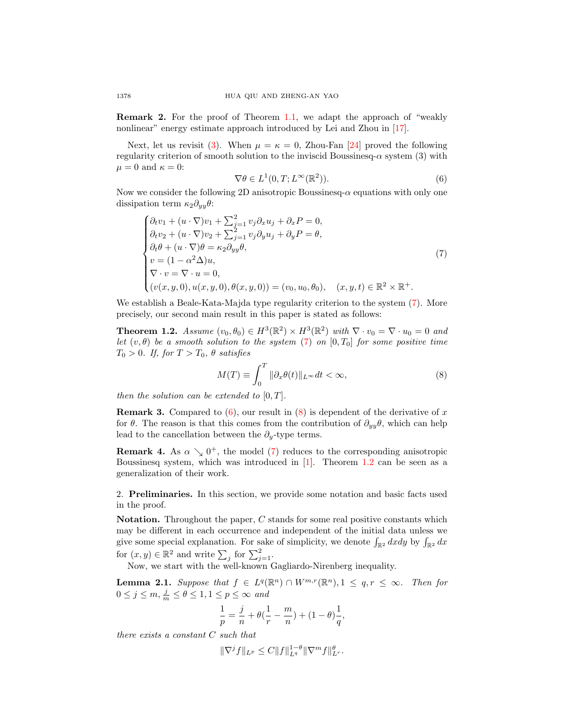Remark 2. For the proof of Theorem [1.1,](#page-2-2) we adapt the approach of "weakly nonlinear" energy estimate approach introduced by Lei and Zhou in [\[17\]](#page-18-16).

Next, let us revisit [\(3\)](#page-1-1). When  $\mu = \kappa = 0$ , Zhou-Fan [\[24\]](#page-18-14) proved the following regularity criterion of smooth solution to the inviscid Boussinesq- $\alpha$  system (3) with  $\mu = 0$  and  $\kappa = 0$ :

<span id="page-3-1"></span>
$$
\nabla \theta \in L^1(0, T; L^\infty(\mathbb{R}^2)).
$$
\n(6)

Now we consider the following 2D anisotropic Boussinesq- $\alpha$  equations with only one dissipation term  $\kappa_2 \partial_{uu} \theta$ :

<span id="page-3-0"></span>
$$
\begin{cases}\n\partial_t v_1 + (u \cdot \nabla) v_1 + \sum_{j=1}^2 v_j \partial_x u_j + \partial_x P = 0, \\
\partial_t v_2 + (u \cdot \nabla) v_2 + \sum_{j=1}^2 v_j \partial_y u_j + \partial_y P = \theta, \\
\partial_t \theta + (u \cdot \nabla) \theta = \kappa_2 \partial_{yy} \theta, \\
v = (1 - \alpha^2 \Delta) u, \\
\nabla \cdot v = \nabla \cdot u = 0, \\
(v(x, y, 0), u(x, y, 0), \theta(x, y, 0)) = (v_0, u_0, \theta_0), \quad (x, y, t) \in \mathbb{R}^2 \times \mathbb{R}^+. \n\end{cases} (7)
$$

We establish a Beale-Kata-Majda type regularity criterion to the system [\(7\)](#page-3-0). More precisely, our second main result in this paper is stated as follows:

<span id="page-3-3"></span>**Theorem 1.2.** Assume  $(v_0, \theta_0) \in H^3(\mathbb{R}^2) \times H^3(\mathbb{R}^2)$  with  $\nabla \cdot v_0 = \nabla \cdot u_0 = 0$  and let  $(v, \theta)$  be a smooth solution to the system [\(7\)](#page-3-0) on  $[0, T_0]$  for some positive time  $T_0 > 0$ . If, for  $T > T_0$ ,  $\theta$  satisfies

<span id="page-3-2"></span>
$$
M(T) \equiv \int_0^T \|\partial_x \theta(t)\|_{L^\infty} dt < \infty,\tag{8}
$$

then the solution can be extended to  $[0, T]$ .

**Remark 3.** Compared to  $(6)$ , our result in  $(8)$  is dependent of the derivative of x for  $\theta$ . The reason is that this comes from the contribution of  $\partial_{yy}\theta$ , which can help lead to the cancellation between the  $\partial_y$ -type terms.

**Remark 4.** As  $\alpha \searrow 0^+$ , the model [\(7\)](#page-3-0) reduces to the corresponding anisotropic Boussinesq system, which was introduced in [\[1\]](#page-18-15). Theorem [1.2](#page-3-3) can be seen as a generalization of their work.

2. Preliminaries. In this section, we provide some notation and basic facts used in the proof.

Notation. Throughout the paper, C stands for some real positive constants which may be different in each occurrence and independent of the initial data unless we give some special explanation. For sake of simplicity, we denote  $\int_{\mathbb{R}^2} dx dy$  by  $\int_{\mathbb{R}^2} dx$ for  $(x, y) \in \mathbb{R}^2$  and write  $\sum_j$  for  $\sum_{j=1}^2$ .

Now, we start with the well-known Gagliardo-Nirenberg inequality.

<span id="page-3-4"></span>**Lemma 2.1.** Suppose that  $f \in L^q(\mathbb{R}^n) \cap W^{m,r}(\mathbb{R}^n), 1 \leq q, r \leq \infty$ . Then for  $0 \leq j \leq m, \frac{j}{m} \leq \theta \leq 1, 1 \leq p \leq \infty$  and

$$
\frac{1}{p} = \frac{j}{n} + \theta(\frac{1}{r} - \frac{m}{n}) + (1 - \theta)\frac{1}{q},
$$

there exists a constant C such that

$$
\|\nabla^j f\|_{L^p} \le C \|f\|_{L^q}^{1-\theta} \|\nabla^m f\|_{L^r}^{\theta}.
$$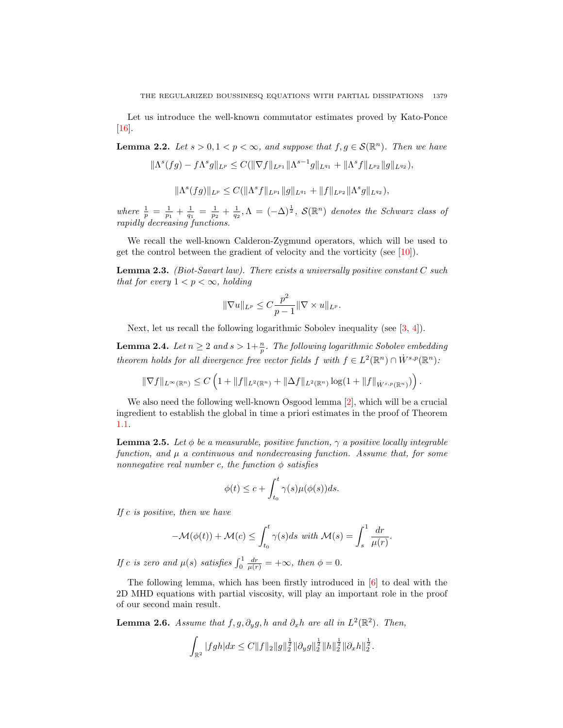Let us introduce the well-known commutator estimates proved by Kato-Ponce [\[16\]](#page-18-17).

<span id="page-4-1"></span>**Lemma 2.2.** Let  $s > 0, 1 < p < \infty$ , and suppose that  $f, g \in \mathcal{S}(\mathbb{R}^n)$ . Then we have

$$
\|\Lambda^s(fg)-f\Lambda^s g\|_{L^p}\leq C(\|\nabla f\|_{L^{p_1}}\|\Lambda^{s-1}g\|_{L^{q_1}}+\|\Lambda^s f\|_{L^{p_2}}\|g\|_{L^{q_2}}),
$$

$$
\|\Lambda^s(fg)\|_{L^p}\leq C(\|\Lambda^s f\|_{L^{p_1}}\|g\|_{L^{q_1}}+\|f\|_{L^{p_2}}\|\Lambda^s g\|_{L^{q_2}}),
$$

where  $\frac{1}{p} = \frac{1}{p_1} + \frac{1}{q_1} = \frac{1}{p_2} + \frac{1}{q_2}, \Lambda = (-\Delta)^{\frac{1}{2}}$ ,  $\mathcal{S}(\mathbb{R}^n)$  denotes the Schwarz class of rapidly decreasing functions.

We recall the well-known Calderon-Zygmund operators, which will be used to get the control between the gradient of velocity and the vorticity (see [\[10\]](#page-18-18)).

<span id="page-4-0"></span>**Lemma 2.3.** (Biot-Savart law). There exists a universally positive constant  $C$  such that for every  $1 < p < \infty$ , holding

$$
\|\nabla u\|_{L^p}\leq C\frac{p^2}{p-1}\|\nabla\times u\|_{L^p}.
$$

Next, let us recall the following logarithmic Sobolev inequality (see [\[3,](#page-18-19) [4\]](#page-18-20)).

<span id="page-4-2"></span>**Lemma 2.4.** Let  $n \geq 2$  and  $s > 1 + \frac{n}{p}$ . The following logarithmic Sobolev embedding theorem holds for all divergence free vector fields f with  $f \in L^2(\mathbb{R}^n) \cap \dot{W}^{s,p}(\mathbb{R}^n)$ :

$$
\|\nabla f\|_{L^{\infty}(\mathbb{R}^n)} \leq C \left( 1 + \|f\|_{L^2(\mathbb{R}^n)} + \|\Delta f\|_{L^2(\mathbb{R}^n)} \log(1 + \|f\|_{\dot{W}^{s,p}(\mathbb{R}^n)}) \right).
$$

We also need the following well-known Osgood lemma [\[2\]](#page-18-21), which will be a crucial ingredient to establish the global in time a priori estimates in the proof of Theorem [1.1.](#page-2-2)

<span id="page-4-3"></span>**Lemma 2.5.** Let  $\phi$  be a measurable, positive function,  $\gamma$  a positive locally integrable function, and  $\mu$  a continuous and nondecreasing function. Assume that, for some nonnegative real number c, the function  $\phi$  satisfies

$$
\phi(t) \le c + \int_{t_0}^t \gamma(s) \mu(\phi(s)) ds.
$$

If  $c$  is positive, then we have

$$
-\mathcal{M}(\phi(t)) + \mathcal{M}(c) \le \int_{t_0}^t \gamma(s)ds \text{ with } \mathcal{M}(s) = \int_s^1 \frac{dr}{\mu(r)}.
$$

If c is zero and  $\mu(s)$  satisfies  $\int_0^1 \frac{dr}{\mu(r)} = +\infty$ , then  $\phi = 0$ .

The following lemma, which has been firstly introduced in [\[6\]](#page-18-22) to deal with the 2D MHD equations with partial viscosity, will play an important role in the proof of our second main result.

<span id="page-4-4"></span>**Lemma 2.6.** Assume that  $f, g, \partial_y g, h$  and  $\partial_x h$  are all in  $L^2(\mathbb{R}^2)$ . Then,

$$
\int_{\mathbb{R}^2} |fgh|dx \leq C ||f||_2 ||g||_2^{\frac{1}{2}} ||\partial_y g||_2^{\frac{1}{2}} ||h||_2^{\frac{1}{2}} ||\partial_x h||_2^{\frac{1}{2}}.
$$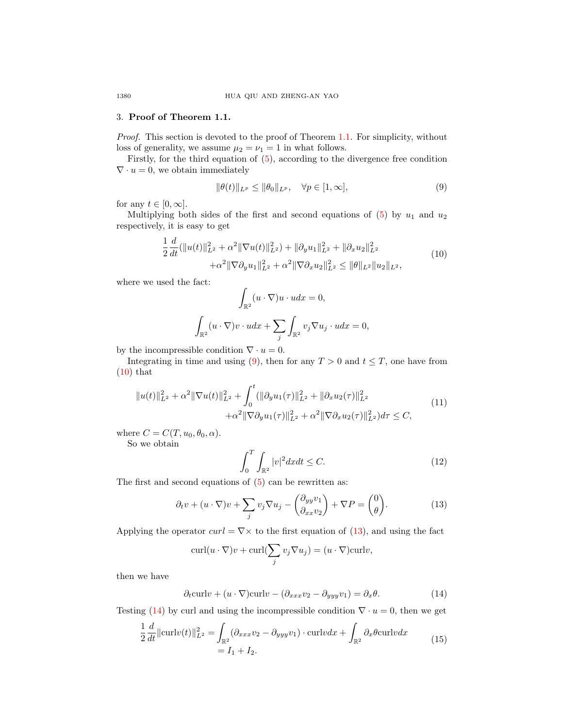## 3. Proof of Theorem 1.1.

Proof. This section is devoted to the proof of Theorem [1.1.](#page-2-2) For simplicity, without loss of generality, we assume  $\mu_2 = \nu_1 = 1$  in what follows.

Firstly, for the third equation of [\(5\)](#page-2-1), according to the divergence free condition  $\nabla \cdot u = 0$ , we obtain immediately

<span id="page-5-0"></span>
$$
\|\theta(t)\|_{L^p} \le \|\theta_0\|_{L^p}, \quad \forall p \in [1, \infty], \tag{9}
$$

for any  $t \in [0, \infty]$ .

Multiplying both sides of the first and second equations of  $(5)$  by  $u_1$  and  $u_2$ respectively, it is easy to get

$$
\frac{1}{2}\frac{d}{dt}(\|u(t)\|_{L^2}^2 + \alpha^2 \|\nabla u(t)\|_{L^2}^2) + \|\partial_y u_1\|_{L^2}^2 + \|\partial_x u_2\|_{L^2}^2 \n+ \alpha^2 \|\nabla \partial_y u_1\|_{L^2}^2 + \alpha^2 \|\nabla \partial_x u_2\|_{L^2}^2 \le \|\theta\|_{L^2} \|u_2\|_{L^2},
$$
\n(10)

<span id="page-5-1"></span>where we used the fact:

$$
\int_{\mathbb{R}^2} (u \cdot \nabla)u \cdot u dx = 0,
$$
  

$$
\int_{\mathbb{R}^2} (u \cdot \nabla) v \cdot u dx + \sum_j \int_{\mathbb{R}^2} v_j \nabla u_j \cdot u dx = 0,
$$

by the incompressible condition  $\nabla \cdot u = 0$ .

Integrating in time and using [\(9\)](#page-5-0), then for any  $T > 0$  and  $t \leq T$ , one have from  $(10)$  that

$$
||u(t)||_{L^{2}}^{2} + \alpha^{2} ||\nabla u(t)||_{L^{2}}^{2} + \int_{0}^{t} (||\partial_{y} u_{1}(\tau)||_{L^{2}}^{2} + ||\partial_{x} u_{2}(\tau)||_{L^{2}}^{2} + \alpha^{2} ||\nabla \partial_{y} u_{1}(\tau)||_{L^{2}}^{2} + \alpha^{2} ||\nabla \partial_{x} u_{2}(\tau)||_{L^{2}}^{2}) d\tau \leq C,
$$
\n(11)

where  $C = C(T, u_0, \theta_0, \alpha)$ .

So we obtain

<span id="page-5-5"></span>
$$
\int_0^T \int_{\mathbb{R}^2} |v|^2 dx dt \le C. \tag{12}
$$

The first and second equations of [\(5\)](#page-2-1) can be rewritten as:

<span id="page-5-2"></span>
$$
\partial_t v + (u \cdot \nabla)v + \sum_j v_j \nabla u_j - \begin{pmatrix} \partial_{yy} v_1 \\ \partial_{xx} v_2 \end{pmatrix} + \nabla P = \begin{pmatrix} 0 \\ \theta \end{pmatrix}.
$$
 (13)

Applying the operator  $curl = \nabla \times$  to the first equation of [\(13\)](#page-5-2), and using the fact

$$
\operatorname{curl}(u \cdot \nabla)v + \operatorname{curl}(\sum_{j} v_j \nabla u_j) = (u \cdot \nabla)\operatorname{curl}v,
$$

then we have

<span id="page-5-3"></span>
$$
\partial_t \text{curl}v + (u \cdot \nabla) \text{curl}v - (\partial_{xxx}v_2 - \partial_{yyy}v_1) = \partial_x \theta.
$$
 (14)

<span id="page-5-4"></span>Testing [\(14\)](#page-5-3) by curl and using the incompressible condition  $\nabla \cdot u = 0$ , then we get

$$
\frac{1}{2}\frac{d}{dt}\|\text{curl}v(t)\|_{L^2}^2 = \int_{\mathbb{R}^2} (\partial_{xxx}v_2 - \partial_{yyy}v_1) \cdot \text{curl}v dx + \int_{\mathbb{R}^2} \partial_x \theta \text{curl}v dx
$$
\n
$$
= I_1 + I_2.
$$
\n(15)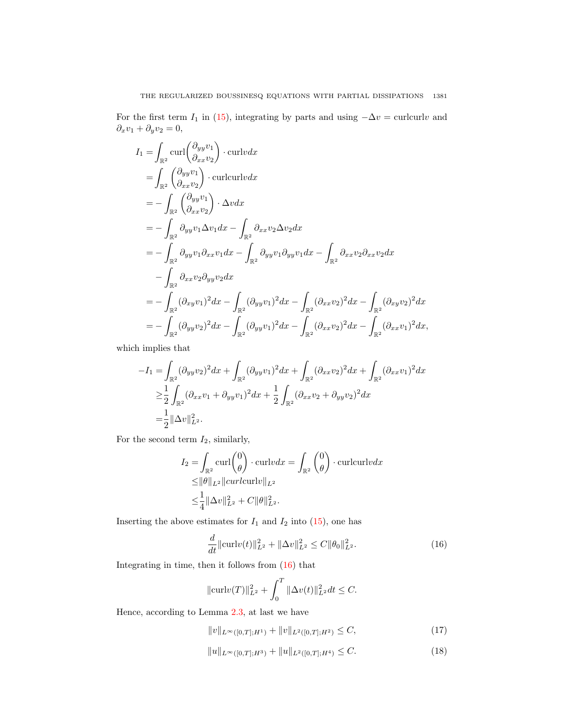For the first term  $I_1$  in [\(15\)](#page-5-4), integrating by parts and using  $-\Delta v = \text{curlcurl}v$  and  $\partial_x v_1 + \partial_y v_2 = 0,$ 

$$
I_{1} = \int_{\mathbb{R}^{2}} \text{curl} \left( \frac{\partial_{yy} v_{1}}{\partial_{xx} v_{2}} \right) \cdot \text{curl} v dx
$$
  
\n
$$
= \int_{\mathbb{R}^{2}} \left( \frac{\partial_{yy} v_{1}}{\partial_{xx} v_{2}} \right) \cdot \text{curl} v dx
$$
  
\n
$$
= - \int_{\mathbb{R}^{2}} \left( \frac{\partial_{yy} v_{1}}{\partial_{xx} v_{2}} \right) \cdot \Delta v dx
$$
  
\n
$$
= - \int_{\mathbb{R}^{2}} \partial_{yy} v_{1} \Delta v_{1} dx - \int_{\mathbb{R}^{2}} \partial_{xx} v_{2} \Delta v_{2} dx
$$
  
\n
$$
= - \int_{\mathbb{R}^{2}} \partial_{yy} v_{1} \partial_{xx} v_{1} dx - \int_{\mathbb{R}^{2}} \partial_{yy} v_{1} \partial_{yy} v_{1} dx - \int_{\mathbb{R}^{2}} \partial_{xx} v_{2} \partial_{xx} v_{2} dx
$$
  
\n
$$
- \int_{\mathbb{R}^{2}} \partial_{xx} v_{2} \partial_{yy} v_{2} dx
$$
  
\n
$$
= - \int_{\mathbb{R}^{2}} (\partial_{xy} v_{1})^{2} dx - \int_{\mathbb{R}^{2}} (\partial_{yy} v_{1})^{2} dx - \int_{\mathbb{R}^{2}} (\partial_{xx} v_{2})^{2} dx - \int_{\mathbb{R}^{2}} (\partial_{xy} v_{2})^{2} dx
$$
  
\n
$$
= - \int_{\mathbb{R}^{2}} (\partial_{yy} v_{2})^{2} dx - \int_{\mathbb{R}^{2}} (\partial_{yy} v_{1})^{2} dx - \int_{\mathbb{R}^{2}} (\partial_{xx} v_{2})^{2} dx - \int_{\mathbb{R}^{2}} (\partial_{xx} v_{1})^{2} dx,
$$

which implies that

$$
-I_1 = \int_{\mathbb{R}^2} (\partial_{yy} v_2)^2 dx + \int_{\mathbb{R}^2} (\partial_{yy} v_1)^2 dx + \int_{\mathbb{R}^2} (\partial_{xx} v_2)^2 dx + \int_{\mathbb{R}^2} (\partial_{xx} v_1)^2 dx
$$
  
\n
$$
\geq \frac{1}{2} \int_{\mathbb{R}^2} (\partial_{xx} v_1 + \partial_{yy} v_1)^2 dx + \frac{1}{2} \int_{\mathbb{R}^2} (\partial_{xx} v_2 + \partial_{yy} v_2)^2 dx
$$
  
\n
$$
= \frac{1}{2} ||\Delta v||_{L^2}^2.
$$

For the second term  $I_2$ , similarly,

$$
I_2 = \int_{\mathbb{R}^2} \operatorname{curl} \begin{pmatrix} 0 \\ \theta \end{pmatrix} \cdot \operatorname{curl} v dx = \int_{\mathbb{R}^2} \begin{pmatrix} 0 \\ \theta \end{pmatrix} \cdot \operatorname{curl} v dx
$$
  
\n
$$
\leq ||\theta||_{L^2} ||curl \operatorname{curl} v||_{L^2}
$$
  
\n
$$
\leq \frac{1}{4} ||\Delta v||_{L^2}^2 + C ||\theta||_{L^2}^2.
$$

Inserting the above estimates for  $I_1$  and  $I_2$  into [\(15\)](#page-5-4), one has

<span id="page-6-0"></span>
$$
\frac{d}{dt} \|\text{curl}v(t)\|_{L^2}^2 + \|\Delta v\|_{L^2}^2 \le C \|\theta_0\|_{L^2}^2.
$$
\n(16)

Integrating in time, then it follows from  $(16)$  that

$$
\|\operatorname{curl}v(T)\|_{L^2}^2 + \int_0^T \|\Delta v(t)\|_{L^2}^2 dt \le C.
$$

Hence, according to Lemma [2.3,](#page-4-0) at last we have

$$
||v||_{L^{\infty}([0,T];H^1)} + ||v||_{L^2([0,T];H^2)} \leq C,
$$
\n(17)

<span id="page-6-1"></span>
$$
||u||_{L^{\infty}([0,T];H^3)} + ||u||_{L^2([0,T];H^4)} \leq C.
$$
\n(18)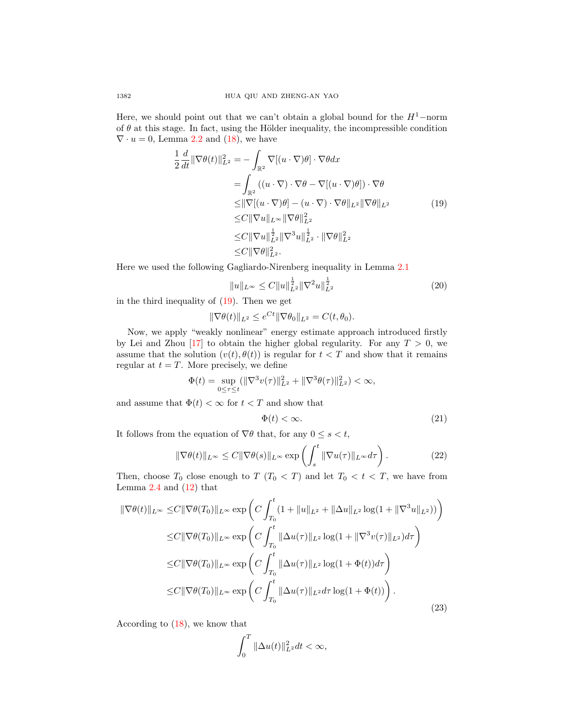Here, we should point out that we can't obtain a global bound for the  $H^1$ −norm of  $\theta$  at this stage. In fact, using the Hölder inequality, the incompressible condition  $\nabla \cdot u = 0$ , Lemma [2.2](#page-4-1) and [\(18\)](#page-6-1), we have

$$
\frac{1}{2} \frac{d}{dt} \|\nabla \theta(t)\|_{L^2}^2 = -\int_{\mathbb{R}^2} \nabla[(u \cdot \nabla)\theta] \cdot \nabla \theta dx \n= \int_{\mathbb{R}^2} ((u \cdot \nabla) \cdot \nabla \theta - \nabla[(u \cdot \nabla)\theta]) \cdot \nabla \theta \n\leq \|\nabla[(u \cdot \nabla)\theta] - (u \cdot \nabla) \cdot \nabla \theta\|_{L^2} \|\nabla \theta\|_{L^2} \n\leq C \|\nabla u\|_{L^\infty} \|\nabla \theta\|_{L^2}^2 \n\leq C \|\nabla u\|_{L^2} \|\nabla^3 u\|_{L^2}^{\frac{1}{2}} \cdot \|\nabla \theta\|_{L^2}^2 \n\leq C \|\nabla \theta\|_{L^2}^2.
$$
\n(19)

<span id="page-7-0"></span>Here we used the following Gagliardo-Nirenberg inequality in Lemma [2.1](#page-3-4)

<span id="page-7-2"></span>
$$
||u||_{L^{\infty}} \leq C||u||_{L^{2}}^{\frac{1}{2}}||\nabla^{2}u||_{L^{2}}^{\frac{1}{2}}
$$
\n(20)

in the third inequality of  $(19)$ . Then we get

$$
\|\nabla \theta(t)\|_{L^2} \le e^{Ct} \|\nabla \theta_0\|_{L^2} = C(t, \theta_0).
$$

Now, we apply "weakly nonlinear" energy estimate approach introduced firstly by Lei and Zhou [\[17\]](#page-18-16) to obtain the higher global regularity. For any  $T > 0$ , we assume that the solution  $(v(t), \theta(t))$  is regular for  $t < T$  and show that it remains regular at  $t = T$ . More precisely, we define

$$
\Phi(t) = \sup_{0 \le \tau \le t} (\|\nabla^3 v(\tau)\|_{L^2}^2 + \|\nabla^3 \theta(\tau)\|_{L^2}^2) < \infty,
$$

and assume that  $\Phi(t) < \infty$  for  $t < T$  and show that

<span id="page-7-3"></span>
$$
\Phi(t) < \infty. \tag{21}
$$

It follows from the equation of  $\nabla \theta$  that, for any  $0 \leq s < t$ ,

$$
\|\nabla\theta(t)\|_{L^{\infty}} \le C\|\nabla\theta(s)\|_{L^{\infty}} \exp\left(\int_{s}^{t} \|\nabla u(\tau)\|_{L^{\infty}} d\tau\right). \tag{22}
$$

Then, choose  $T_0$  close enough to  $T$   $(T_0 < T)$  and let  $T_0 < t < T$ , we have from Lemma  $2.4$  and  $(12)$  that

<span id="page-7-1"></span>
$$
\|\nabla\theta(t)\|_{L^{\infty}} \leq C\|\nabla\theta(T_0)\|_{L^{\infty}} \exp\left(C\int_{T_0}^t (1 + \|u\|_{L^2} + \|\Delta u\|_{L^2} \log(1 + \|\nabla^3 u\|_{L^2}))\right)
$$
  
\n
$$
\leq C\|\nabla\theta(T_0)\|_{L^{\infty}} \exp\left(C\int_{T_0}^t \|\Delta u(\tau)\|_{L^2} \log(1 + \|\nabla^3 v(\tau)\|_{L^2})d\tau\right)
$$
  
\n
$$
\leq C\|\nabla\theta(T_0)\|_{L^{\infty}} \exp\left(C\int_{T_0}^t \|\Delta u(\tau)\|_{L^2} \log(1 + \Phi(t))d\tau\right)
$$
  
\n
$$
\leq C\|\nabla\theta(T_0)\|_{L^{\infty}} \exp\left(C\int_{T_0}^t \|\Delta u(\tau)\|_{L^2} d\tau \log(1 + \Phi(t))\right).
$$
\n(23)

According to  $(18)$ , we know that

$$
\int_0^T \|\Delta u(t)\|_{L^2}^2 dt < \infty,
$$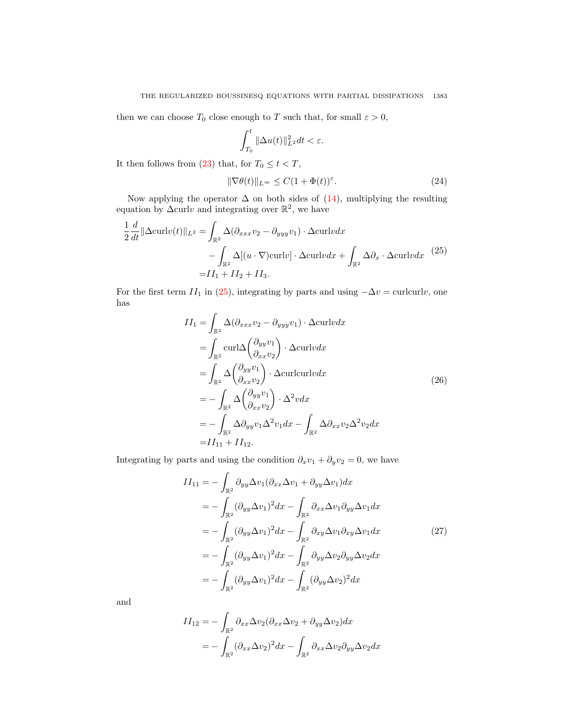then we can choose  $T_0$  close enough to T such that, for small  $\varepsilon > 0$ ,

$$
\int_{T_0}^t \|\Delta u(t)\|_{L^2}^2 dt < \varepsilon.
$$

It then follows from [\(23\)](#page-7-1) that, for  $T_0 \leq t < T$ ,

$$
\|\nabla \theta(t)\|_{L^{\infty}} \le C(1+\Phi(t))^{\varepsilon}.
$$
\n(24)

Now applying the operator  $\Delta$  on both sides of [\(14\)](#page-5-3), multiplying the resulting equation by  $\Delta$ curlv and integrating over  $\mathbb{R}^2$ , we have

<span id="page-8-0"></span>
$$
\frac{1}{2} \frac{d}{dt} \|\Delta \operatorname{curl} v(t)\|_{L^2} = \int_{\mathbb{R}^2} \Delta (\partial_{xxx} v_2 - \partial_{yyy} v_1) \cdot \Delta \operatorname{curl} v dx \n- \int_{\mathbb{R}^2} \Delta [(u \cdot \nabla) \operatorname{curl} v] \cdot \Delta \operatorname{curl} v dx + \int_{\mathbb{R}^2} \Delta \partial_x \cdot \Delta \operatorname{curl} v dx \qquad (25)
$$
\n
$$
= II_1 + II_2 + II_3.
$$

For the first term  $II_1$  in [\(25\)](#page-8-0), integrating by parts and using  $-\Delta v = \text{curlcurl}v$ , one has

$$
II_1 = \int_{\mathbb{R}^2} \Delta(\partial_{xxx} v_2 - \partial_{yyy} v_1) \cdot \Delta \text{curl} v dx
$$
  
\n
$$
= \int_{\mathbb{R}^2} \text{curl}\Delta \left(\frac{\partial_{yy} v_1}{\partial_{xx} v_2}\right) \cdot \Delta \text{curl} v dx
$$
  
\n
$$
= \int_{\mathbb{R}^2} \Delta \left(\frac{\partial_{yy} v_1}{\partial_{xx} v_2}\right) \cdot \Delta \text{curl} \text{curl} v dx
$$
  
\n
$$
= -\int_{\mathbb{R}^2} \Delta \left(\frac{\partial_{yy} v_1}{\partial_{xx} v_2}\right) \cdot \Delta^2 v dx
$$
  
\n
$$
= -\int_{\mathbb{R}^2} \Delta \partial_{yy} v_1 \Delta^2 v_1 dx - \int_{\mathbb{R}^2} \Delta \partial_{xx} v_2 \Delta^2 v_2 dx
$$
  
\n
$$
= II_{11} + II_{12}.
$$
 (26)

<span id="page-8-2"></span><span id="page-8-1"></span>Integrating by parts and using the condition  $\partial_x v_1 + \partial_y v_2 = 0$ , we have

$$
II_{11} = -\int_{\mathbb{R}^2} \partial_{yy} \Delta v_1 (\partial_{xx} \Delta v_1 + \partial_{yy} \Delta v_1) dx
$$
  
\n
$$
= -\int_{\mathbb{R}^2} (\partial_{yy} \Delta v_1)^2 dx - \int_{\mathbb{R}^2} \partial_{xx} \Delta v_1 \partial_{yy} \Delta v_1 dx
$$
  
\n
$$
= -\int_{\mathbb{R}^2} (\partial_{yy} \Delta v_1)^2 dx - \int_{\mathbb{R}^2} \partial_{xy} \Delta v_1 \partial_{xy} \Delta v_1 dx
$$
  
\n
$$
= -\int_{\mathbb{R}^2} (\partial_{yy} \Delta v_1)^2 dx - \int_{\mathbb{R}^2} \partial_{yy} \Delta v_2 \partial_{yy} \Delta v_2 dx
$$
  
\n
$$
= -\int_{\mathbb{R}^2} (\partial_{yy} \Delta v_1)^2 dx - \int_{\mathbb{R}^2} (\partial_{yy} \Delta v_2)^2 dx
$$
  
\n(27)

$$
II_{12} = -\int_{\mathbb{R}^2} \partial_{xx} \Delta v_2 (\partial_{xx} \Delta v_2 + \partial_{yy} \Delta v_2) dx
$$
  
= 
$$
- \int_{\mathbb{R}^2} (\partial_{xx} \Delta v_2)^2 dx - \int_{\mathbb{R}^2} \partial_{xx} \Delta v_2 \partial_{yy} \Delta v_2 dx
$$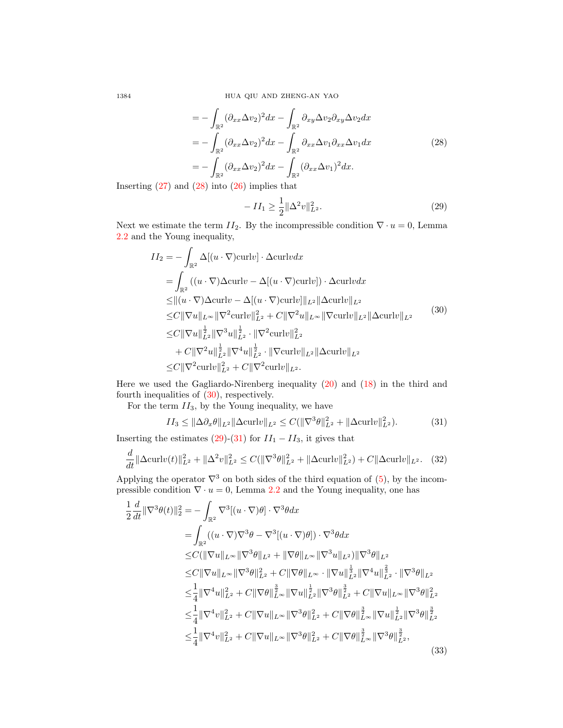1384 HUA QIU AND ZHENG-AN YAO

$$
= -\int_{\mathbb{R}^2} (\partial_{xx}\Delta v_2)^2 dx - \int_{\mathbb{R}^2} \partial_{xy}\Delta v_2 \partial_{xy}\Delta v_2 dx
$$
  

$$
= -\int_{\mathbb{R}^2} (\partial_{xx}\Delta v_2)^2 dx - \int_{\mathbb{R}^2} \partial_{xx}\Delta v_1 \partial_{xx}\Delta v_1 dx
$$
  

$$
= -\int_{\mathbb{R}^2} (\partial_{xx}\Delta v_2)^2 dx - \int_{\mathbb{R}^2} (\partial_{xx}\Delta v_1)^2 dx.
$$
 (28)

Inserting  $(27)$  and  $(28)$  into  $(26)$  implies that

<span id="page-9-2"></span>
$$
-II_1 \ge \frac{1}{2} \|\Delta^2 v\|_{L^2}^2.
$$
\n(29)

Next we estimate the term  $II_2$ . By the incompressible condition  $\nabla \cdot u = 0$ , Lemma [2.2](#page-4-1) and the Young inequality,

<span id="page-9-1"></span>
$$
II_2 = -\int_{\mathbb{R}^2} \Delta[(u \cdot \nabla)\text{curl}v] \cdot \Delta \text{curl}v dx
$$
  
\n
$$
= \int_{\mathbb{R}^2} ((u \cdot \nabla)\Delta \text{curl}v - \Delta[(u \cdot \nabla)\text{curl}v]) \cdot \Delta \text{curl}v dx
$$
  
\n
$$
\leq ||(u \cdot \nabla)\Delta \text{curl}v - \Delta[(u \cdot \nabla)\text{curl}v]||_{L^2} ||\Delta \text{curl}v||_{L^2}
$$
  
\n
$$
\leq C ||\nabla u||_{L^{\infty}} ||\nabla^2 \text{curl}v||_{L^2}^2 + C ||\nabla^2 u||_{L^{\infty}} ||\nabla \text{curl}v||_{L^2} ||\Delta \text{curl}v||_{L^2}
$$
  
\n
$$
\leq C ||\nabla u||_{L^2}^{\frac{1}{2}} ||\nabla^3 u||_{L^2}^{\frac{1}{2}} \cdot ||\nabla^2 \text{curl}v||_{L^2}^2
$$
  
\n
$$
+ C ||\nabla^2 u||_{L^2}^{\frac{1}{2}} ||\nabla^4 u||_{L^2}^{\frac{1}{2}} \cdot ||\nabla \text{curl}v||_{L^2} ||\Delta \text{curl}v||_{L^2}
$$
  
\n
$$
\leq C ||\nabla^2 \text{curl}v||_{L^2}^{\frac{1}{2}} + C ||\nabla^2 \text{curl}v||_{L^2}.
$$
  
\n(30)

Here we used the Gagliardo-Nirenberg inequality [\(20\)](#page-7-2) and [\(18\)](#page-6-1) in the third and fourth inequalities of  $(30)$ , respectively.

For the term  $II_3$ , by the Young inequality, we have

<span id="page-9-3"></span>
$$
II_3 \le \|\Delta \partial_x \theta\|_{L^2} \|\Delta \text{curl} v\|_{L^2} \le C(\|\nabla^3 \theta\|_{L^2}^2 + \|\Delta \text{curl} v\|_{L^2}^2). \tag{31}
$$

Inserting the estimates [\(29\)](#page-9-2)-[\(31\)](#page-9-3) for  $II_1 - II_3$ , it gives that

<span id="page-9-5"></span>
$$
\frac{d}{dt} \|\Delta \text{curl}v(t)\|_{L^2}^2 + \|\Delta^2 v\|_{L^2}^2 \le C(\|\nabla^3 \theta\|_{L^2}^2 + \|\Delta \text{curl}v\|_{L^2}^2) + C\|\Delta \text{curl}v\|_{L^2}.
$$
 (32)

Applying the operator  $\nabla^3$  on both sides of the third equation of [\(5\)](#page-2-1), by the incompressible condition  $\nabla \cdot u = 0$ , Lemma [2.2](#page-4-1) and the Young inequality, one has

<span id="page-9-4"></span>
$$
\frac{1}{2} \frac{d}{dt} \|\nabla^{3}\theta(t)\|_{2}^{2} = -\int_{\mathbb{R}^{2}} \nabla^{3}[(u \cdot \nabla)\theta] \cdot \nabla^{3}\theta dx \n= \int_{\mathbb{R}^{2}} ((u \cdot \nabla)\nabla^{3}\theta - \nabla^{3}[(u \cdot \nabla)\theta]) \cdot \nabla^{3}\theta dx \n\leq C(\|\nabla u\|_{L^{\infty}} \|\nabla^{3}\theta\|_{L^{2}} + \|\nabla\theta\|_{L^{\infty}} \|\nabla^{3}u\|_{L^{2}}) \|\nabla^{3}\theta\|_{L^{2}} \n\leq C\|\nabla u\|_{L^{\infty}} \|\nabla^{3}\theta\|_{L^{2}}^{2} + C\|\nabla\theta\|_{L^{\infty}} \cdot \|\nabla u\|_{L^{2}}^{\frac{1}{3}} \|\nabla^{4}u\|_{L^{2}}^{\frac{2}{3}} \cdot \|\nabla^{3}\theta\|_{L^{2}}^{2} \n\leq \frac{1}{4} \|\nabla^{4}u\|_{L^{2}}^{2} + C\|\nabla\theta\|_{L^{\infty}}^{\frac{3}{2}} \|\nabla u\|_{L^{2}}^{\frac{1}{2}} \|\nabla^{3}\theta\|_{L^{2}}^{\frac{3}{2}} + C\|\nabla u\|_{L^{\infty}} \|\nabla^{3}\theta\|_{L^{2}}^{2} \n\leq \frac{1}{4} \|\nabla^{4}v\|_{L^{2}}^{2} + C\|\nabla u\|_{L^{\infty}} \|\nabla^{3}\theta\|_{L^{2}}^{2} + C\|\nabla\theta\|_{L^{\infty}}^{\frac{3}{2}} \|\nabla u\|_{L^{2}}^{\frac{1}{2}} \|\nabla^{3}\theta\|_{L^{2}}^{\frac{3}{2}} \n\leq \frac{1}{4} \|\nabla^{4}v\|_{L^{2}}^{2} + C\|\nabla u\|_{L^{\infty}} \|\nabla^{3}\theta\|_{L^{2}}^{2} + C\|\nabla\theta\|_{L^{\infty}}^{\frac{3}{2}} \|\nabla^{3}\theta\|_{L^{2}}^{\frac{3}{2}},
$$
\n(3

<span id="page-9-0"></span>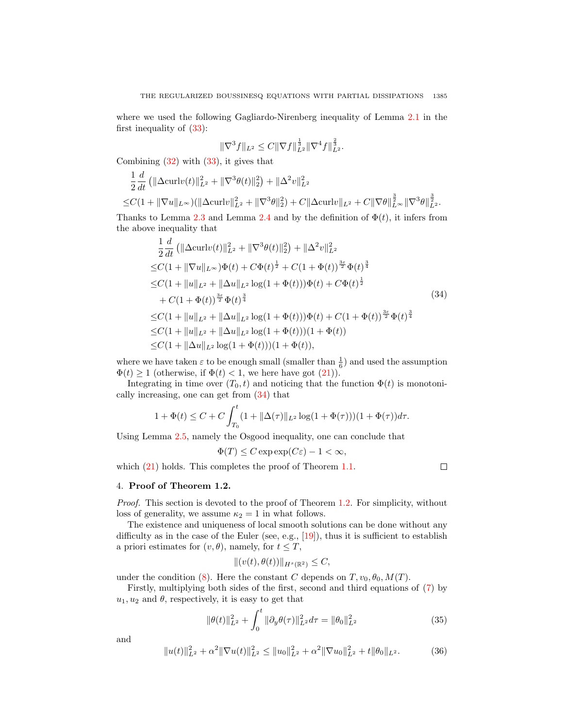where we used the following Gagliardo-Nirenberg inequality of Lemma [2.1](#page-3-4) in the first inequality of [\(33\)](#page-9-4):

$$
\|\nabla^3 f\|_{L^2} \leq C \|\nabla f\|_{L^2}^{\frac{1}{3}} \|\nabla^4 f\|_{L^2}^{\frac{2}{3}}.
$$

Combining [\(32\)](#page-9-5) with [\(33\)](#page-9-4), it gives that

$$
\frac{1}{2}\frac{d}{dt}(\|\Delta \mathrm{curl}v(t)\|_{L^2}^2 + \|\nabla^3 \theta(t)\|_2^2) + \|\Delta^2 v\|_{L^2}^2
$$
  

$$
\leq C(1 + \|\nabla u\|_{L^\infty})(\|\Delta \mathrm{curl}v\|_{L^2}^2 + \|\nabla^3 \theta\|_2^2) + C\|\Delta \mathrm{curl}v\|_{L^2} + C\|\nabla \theta\|_{L^\infty}^{\frac{3}{2}}\|\nabla^3 \theta\|_{L^2}^{\frac{3}{2}}.
$$

Thanks to Lemma [2.3](#page-4-0) and Lemma [2.4](#page-4-2) and by the definition of  $\Phi(t)$ , it infers from the above inequality that

<span id="page-10-0"></span>
$$
\frac{1}{2} \frac{d}{dt} \left( \|\Delta \operatorname{curl} v(t)\|_{L^2}^2 + \|\nabla^3 \theta(t)\|_2^2 \right) + \|\Delta^2 v\|_{L^2}^2
$$
\n
$$
\leq C(1 + \|\nabla u\|_{L^\infty}) \Phi(t) + C \Phi(t)^{\frac{1}{2}} + C(1 + \Phi(t))^{\frac{3\varepsilon}{2}} \Phi(t)^{\frac{3}{4}}
$$
\n
$$
\leq C(1 + \|u\|_{L^2} + \|\Delta u\|_{L^2} \log(1 + \Phi(t))) \Phi(t) + C \Phi(t)^{\frac{1}{2}}
$$
\n
$$
+ C(1 + \Phi(t))^{\frac{3\varepsilon}{2}} \Phi(t)^{\frac{3}{4}} \leq C(1 + \|u\|_{L^2} + \|\Delta u\|_{L^2} \log(1 + \Phi(t))) \Phi(t) + C(1 + \Phi(t))^{\frac{3\varepsilon}{2}} \Phi(t)^{\frac{3}{4}}
$$
\n
$$
\leq C(1 + \|u\|_{L^2} + \|\Delta u\|_{L^2} \log(1 + \Phi(t)))(1 + \Phi(t)) \leq C(1 + \|\Delta u\|_{L^2} \log(1 + \Phi(t)))(1 + \Phi(t)),
$$
\n(4.11)

where we have taken  $\varepsilon$  to be enough small (smaller than  $\frac{1}{6}$ ) and used the assumption  $\Phi(t) \geq 1$  (otherwise, if  $\Phi(t) < 1$ , we here have got  $(21)$ ).

Integrating in time over  $(T_0, t)$  and noticing that the function  $\Phi(t)$  is monotonically increasing, one can get from [\(34\)](#page-10-0) that

$$
1 + \Phi(t) \le C + C \int_{T_0}^t (1 + ||\Delta(\tau)||_{L^2} \log(1 + \Phi(\tau)))(1 + \Phi(\tau))d\tau.
$$

Using Lemma [2.5,](#page-4-3) namely the Osgood inequality, one can conclude that

$$
\Phi(T) \le C \exp \exp(C\varepsilon) - 1 < \infty,
$$

which  $(21)$  holds. This completes the proof of Theorem [1.1.](#page-2-2)

 $\Box$ 

### 4. Proof of Theorem 1.2.

Proof. This section is devoted to the proof of Theorem [1.2.](#page-3-3) For simplicity, without loss of generality, we assume  $\kappa_2 = 1$  in what follows.

The existence and uniqueness of local smooth solutions can be done without any difficulty as in the case of the Euler (see, e.g.,  $[19]$ ), thus it is sufficient to establish a priori estimates for  $(v, \theta)$ , namely, for  $t \leq T$ ,

$$
||(v(t),\theta(t))||_{H^{s}(\mathbb{R}^2)} \leq C,
$$

under the condition [\(8\)](#page-3-2). Here the constant C depends on  $T, v_0, \theta_0, M(T)$ .

Firstly, multiplying both sides of the first, second and third equations of [\(7\)](#page-3-0) by  $u_1, u_2$  and  $\theta$ , respectively, it is easy to get that

<span id="page-10-2"></span>
$$
\|\theta(t)\|_{L^2}^2 + \int_0^t \|\partial_y \theta(\tau)\|_{L^2}^2 d\tau = \|\theta_0\|_{L^2}^2
$$
\n(35)

<span id="page-10-1"></span>
$$
||u(t)||_{L^{2}}^{2} + \alpha^{2} ||\nabla u(t)||_{L^{2}}^{2} \leq ||u_{0}||_{L^{2}}^{2} + \alpha^{2} ||\nabla u_{0}||_{L^{2}}^{2} + t||\theta_{0}||_{L^{2}}.
$$
 (36)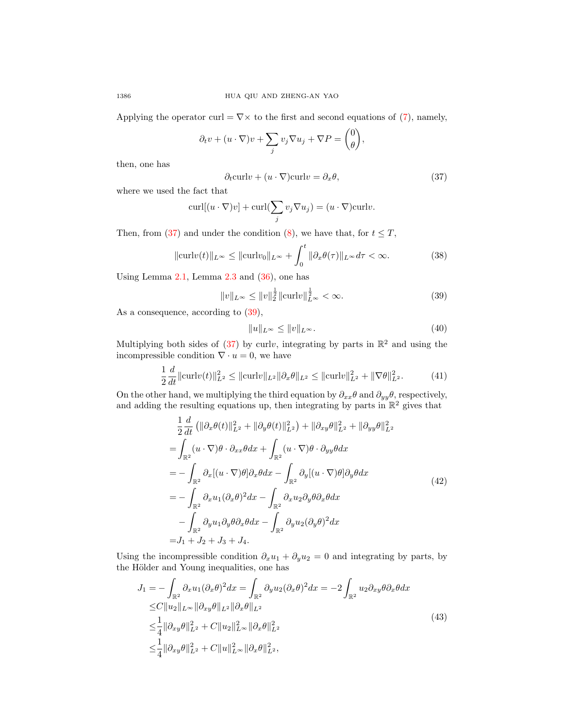Applying the operator curl =  $\nabla \times$  to the first and second equations of [\(7\)](#page-3-0), namely,

$$
\partial_t v + (u \cdot \nabla)v + \sum_j v_j \nabla u_j + \nabla P = \begin{pmatrix} 0 \\ \theta \end{pmatrix},
$$

then, one has

<span id="page-11-0"></span>
$$
\partial_t \text{curl} v + (u \cdot \nabla) \text{curl} v = \partial_x \theta,\tag{37}
$$

where we used the fact that

$$
\operatorname{curl}[(u \cdot \nabla)v] + \operatorname{curl}(\sum_j v_j \nabla u_j) = (u \cdot \nabla)\operatorname{curl}v.
$$

Then, from [\(37\)](#page-11-0) and under the condition [\(8\)](#page-3-2), we have that, for  $t \leq T$ ,

<span id="page-11-5"></span>
$$
\|\operatorname{curl}v(t)\|_{L^{\infty}} \le \|\operatorname{curl}v_0\|_{L^{\infty}} + \int_0^t \|\partial_x \theta(\tau)\|_{L^{\infty}} d\tau < \infty. \tag{38}
$$

Using Lemma  $2.1$ , Lemma  $2.3$  and  $(36)$ , one has

<span id="page-11-1"></span>
$$
||v||_{L^{\infty}} \le ||v||_2^{\frac{1}{2}} ||\text{curl}v||_{L^{\infty}}^{\frac{1}{2}} < \infty.
$$
 (39)

As a consequence, according to  $(39)$ ,

<span id="page-11-4"></span>
$$
||u||_{L^{\infty}} \le ||v||_{L^{\infty}}.\tag{40}
$$

Multiplying both sides of [\(37\)](#page-11-0) by curlv, integrating by parts in  $\mathbb{R}^2$  and using the incompressible condition  $\nabla \cdot u = 0$ , we have

$$
\frac{1}{2}\frac{d}{dt}\|\text{curl}v(t)\|_{L^2}^2 \le \|\text{curl}v\|_{L^2}\|\partial_x\theta\|_{L^2} \le \|\text{curl}v\|_{L^2}^2 + \|\nabla\theta\|_{L^2}^2. \tag{41}
$$

On the other hand, we multiplying the third equation by  $\partial_{xx}\theta$  and  $\partial_{yy}\theta$ , respectively, and adding the resulting equations up, then integrating by parts in  $\mathbb{R}^2$  gives that

<span id="page-11-2"></span>
$$
\frac{1}{2} \frac{d}{dt} \left( \|\partial_x \theta(t)\|_{L^2}^2 + \|\partial_y \theta(t)\|_{L^2}^2 \right) + \|\partial_{xy}\theta\|_{L^2}^2 + \|\partial_{yy}\theta\|_{L^2}^2
$$
\n
$$
= \int_{\mathbb{R}^2} (u \cdot \nabla) \theta \cdot \partial_{xx} \theta dx + \int_{\mathbb{R}^2} (u \cdot \nabla) \theta \cdot \partial_{yy} \theta dx
$$
\n
$$
= - \int_{\mathbb{R}^2} \partial_x [(u \cdot \nabla) \theta] \partial_x \theta dx - \int_{\mathbb{R}^2} \partial_y [(u \cdot \nabla) \theta] \partial_y \theta dx
$$
\n
$$
= - \int_{\mathbb{R}^2} \partial_x u_1 (\partial_x \theta)^2 dx - \int_{\mathbb{R}^2} \partial_x u_2 \partial_y \theta \partial_x \theta dx
$$
\n
$$
- \int_{\mathbb{R}^2} \partial_y u_1 \partial_y \theta \partial_x \theta dx - \int_{\mathbb{R}^2} \partial_y u_2 (\partial_y \theta)^2 dx
$$
\n
$$
= J_1 + J_2 + J_3 + J_4.
$$
\n(42)

Using the incompressible condition  $\partial_x u_1 + \partial_y u_2 = 0$  and integrating by parts, by the Hölder and Young inequalities, one has

<span id="page-11-3"></span>
$$
J_{1} = -\int_{\mathbb{R}^{2}} \partial_{x} u_{1} (\partial_{x} \theta)^{2} dx = \int_{\mathbb{R}^{2}} \partial_{y} u_{2} (\partial_{x} \theta)^{2} dx = -2 \int_{\mathbb{R}^{2}} u_{2} \partial_{xy} \theta \partial_{x} \theta dx
$$
  
\n
$$
\leq C \|u_{2}\|_{L^{\infty}} \|\partial_{xy} \theta\|_{L^{2}} \|\partial_{x} \theta\|_{L^{2}}
$$
  
\n
$$
\leq \frac{1}{4} \|\partial_{xy} \theta\|_{L^{2}}^{2} + C \|u_{2}\|_{L^{\infty}}^{2} \|\partial_{x} \theta\|_{L^{2}}^{2}
$$
  
\n
$$
\leq \frac{1}{4} \|\partial_{xy} \theta\|_{L^{2}}^{2} + C \|u\|_{L^{\infty}}^{2} \|\partial_{x} \theta\|_{L^{2}}^{2},
$$
\n(43)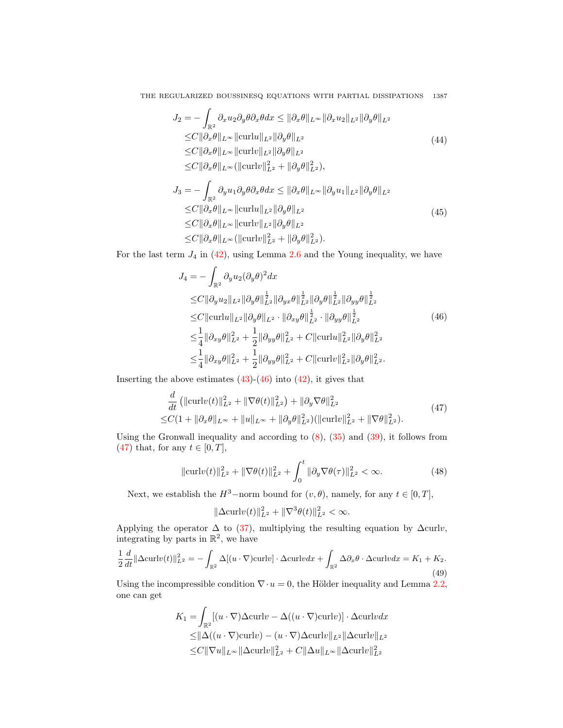$$
J_2 = -\int_{\mathbb{R}^2} \partial_x u_2 \partial_y \theta \partial_x \theta dx \leq \|\partial_x \theta\|_{L^\infty} \|\partial_x u_2\|_{L^2} \|\partial_y \theta\|_{L^2}
$$
  
\n
$$
\leq C \|\partial_x \theta\|_{L^\infty} \|\mathrm{curl} u\|_{L^2} \|\partial_y \theta\|_{L^2}
$$
  
\n
$$
\leq C \|\partial_x \theta\|_{L^\infty} \|\mathrm{curl} v\|_{L^2} \|\partial_y \theta\|_{L^2}
$$
  
\n
$$
\leq C \|\partial_x \theta\|_{L^\infty} (\|\mathrm{curl} v\|_{L^2}^2 + \|\partial_y \theta\|_{L^2}^2),
$$
  
\n(44)

$$
J_3 = -\int_{\mathbb{R}^2} \partial_y u_1 \partial_y \theta \partial_x \theta dx \leq \|\partial_x \theta\|_{L^\infty} \|\partial_y u_1\|_{L^2} \|\partial_y \theta\|_{L^2}
$$
  
\n
$$
\leq C \|\partial_x \theta\|_{L^\infty} \|\mathrm{curl} u\|_{L^2} \|\partial_y \theta\|_{L^2}
$$
  
\n
$$
\leq C \|\partial_x \theta\|_{L^\infty} \|\mathrm{curl} v\|_{L^2} \|\partial_y \theta\|_{L^2}
$$
  
\n
$$
\leq C \|\partial_x \theta\|_{L^\infty} (\|\mathrm{curl} v\|_{L^2}^2 + \|\partial_y \theta\|_{L^2}^2).
$$
\n(45)

<span id="page-12-0"></span>For the last term  $J_4$  in [\(42\)](#page-11-2), using Lemma [2.6](#page-4-4) and the Young inequality, we have

$$
J_4 = -\int_{\mathbb{R}^2} \partial_y u_2 (\partial_y \theta)^2 dx
$$
  
\n
$$
\leq C ||\partial_y u_2||_{L^2} ||\partial_y \theta||_{L^2}^{\frac{1}{2}} ||\partial_{yx} \theta||_{L^2}^{\frac{1}{2}} ||\partial_y \theta||_{L^2}^{\frac{1}{2}} ||\partial_{yy} \theta||_{L^2}^{\frac{1}{2}}
$$
  
\n
$$
\leq C ||\text{curl} u||_{L^2} ||\partial_y \theta||_{L^2} \cdot ||\partial_{xy} \theta||_{L^2}^{\frac{1}{2}} \cdot ||\partial_{yy} \theta||_{L^2}^{\frac{1}{2}}
$$
  
\n
$$
\leq \frac{1}{4} ||\partial_{xy} \theta||_{L^2}^2 + \frac{1}{2} ||\partial_{yy} \theta||_{L^2}^2 + C ||\text{curl} u||_{L^2}^2 ||\partial_y \theta||_{L^2}^2
$$
  
\n
$$
\leq \frac{1}{4} ||\partial_{xy} \theta||_{L^2}^2 + \frac{1}{2} ||\partial_{yy} \theta||_{L^2}^2 + C ||\text{curl} v||_{L^2}^2 ||\partial_y \theta||_{L^2}^2.
$$
  
\n(46)

<span id="page-12-1"></span>Inserting the above estimates  $(43)-(46)$  $(43)-(46)$  $(43)-(46)$  into  $(42)$ , it gives that

d

$$
\frac{d}{dt} \left( \|\text{curl}v(t)\|_{L^2}^2 + \|\nabla\theta(t)\|_{L^2}^2 \right) + \|\partial_y \nabla\theta\|_{L^2}^2
$$
\n
$$
\leq C(1 + \|\partial_x \theta\|_{L^\infty} + \|u\|_{L^\infty} + \|\partial_y \theta\|_{L^2}^2) (\|\text{curl}v\|_{L^2}^2 + \|\nabla\theta\|_{L^2}^2). \tag{47}
$$

Using the Gronwall inequality and according to  $(8)$ ,  $(35)$  and  $(39)$ , it follows from [\(47\)](#page-12-1) that, for any  $t \in [0, T]$ ,

<span id="page-12-2"></span>
$$
\|\text{curl}v(t)\|_{L^2}^2 + \|\nabla\theta(t)\|_{L^2}^2 + \int_0^t \|\partial_y \nabla\theta(\tau)\|_{L^2}^2 < \infty.
$$
 (48)

Next, we establish the  $H^3$ –norm bound for  $(v, \theta)$ , namely, for any  $t \in [0, T]$ ,

$$
\|\Delta \mathrm{curl} v(t)\|_{L^2}^2 + \|\nabla^3 \theta(t)\|_{L^2}^2 < \infty.
$$

Applying the operator  $\Delta$  to [\(37\)](#page-11-0), multiplying the resulting equation by  $\Delta \text{curl}v$ , integrating by parts in  $\mathbb{R}^2$ , we have

<span id="page-12-3"></span>
$$
\frac{1}{2}\frac{d}{dt}\|\Delta \operatorname{curl}v(t)\|_{L^2}^2 = -\int_{\mathbb{R}^2} \Delta [(u\cdot \nabla)\operatorname{curl}v] \cdot \Delta \operatorname{curl}v dx + \int_{\mathbb{R}^2} \Delta \partial_x \theta \cdot \Delta \operatorname{curl}v dx = K_1 + K_2. \tag{49}
$$

Using the incompressible condition  $\nabla \cdot u = 0$ , the Hölder inequality and Lemma [2.2,](#page-4-1) one can get

$$
K_1 = \int_{\mathbb{R}^2} [(u \cdot \nabla) \Delta \operatorname{curl} v - \Delta((u \cdot \nabla) \operatorname{curl} v)] \cdot \Delta \operatorname{curl} v dx
$$
  
\n
$$
\leq ||\Delta((u \cdot \nabla) \operatorname{curl} v) - (u \cdot \nabla) \Delta \operatorname{curl} v||_{L^2} ||\Delta \operatorname{curl} v||_{L^2}
$$
  
\n
$$
\leq C ||\nabla u||_{L^{\infty}} ||\Delta \operatorname{curl} v||_{L^2}^2 + C ||\Delta u||_{L^{\infty}} ||\Delta \operatorname{curl} v||_{L^2}^2
$$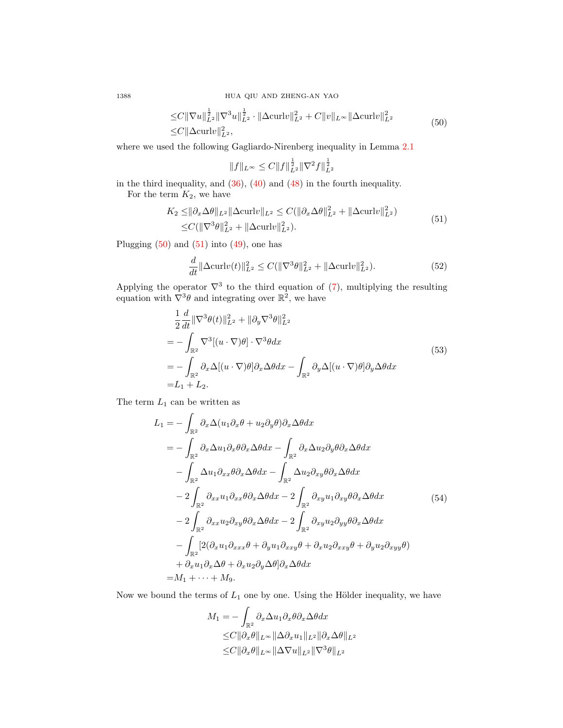1388 HUA QIU AND ZHENG-AN YAO

$$
\leq C \|\nabla u\|_{L^2}^{\frac{1}{2}} \|\nabla^3 u\|_{L^2}^{\frac{1}{2}} \cdot \|\Delta \operatorname{curl} v\|_{L^2}^2 + C \|v\|_{L^\infty} \|\Delta \operatorname{curl} v\|_{L^2}^2
$$
\n
$$
\leq C \|\Delta \operatorname{curl} v\|_{L^2}^2,\tag{50}
$$

where we used the following Gagliardo-Nirenberg inequality in Lemma [2.1](#page-3-4)

$$
||f||_{L^{\infty}} \leq C||f||_{L^{2}}^{\frac{1}{2}}||\nabla^{2}f||_{L^{2}}^{\frac{1}{2}}
$$

in the third inequality, and [\(36\)](#page-10-1), [\(40\)](#page-11-4) and [\(48\)](#page-12-2) in the fourth inequality. For the term  $K_2$ , we have

$$
K_2 \le ||\partial_x \Delta \theta||_{L^2} ||\Delta \text{curl} v||_{L^2} \le C(||\partial_x \Delta \theta||_{L^2}^2 + ||\Delta \text{curl} v||_{L^2}^2)
$$
  

$$
\le C(||\nabla^3 \theta||_{L^2}^2 + ||\Delta \text{curl} v||_{L^2}^2).
$$
 (51)

<span id="page-13-1"></span>Plugging  $(50)$  and  $(51)$  into  $(49)$ , one has

$$
\frac{d}{dt} \|\Delta \text{curl}v(t)\|_{L^2}^2 \le C(\|\nabla^3 \theta\|_{L^2}^2 + \|\Delta \text{curl}v\|_{L^2}^2). \tag{52}
$$

Applying the operator  $\nabla^3$  to the third equation of [\(7\)](#page-3-0), multiplying the resulting equation with  $\nabla^3 \theta$  and integrating over  $\mathbb{R}^2$ , we have

$$
\frac{1}{2} \frac{d}{dt} \|\nabla^3 \theta(t)\|_{L^2}^2 + \|\partial_y \nabla^3 \theta\|_{L^2}^2
$$
\n
$$
= -\int_{\mathbb{R}^2} \nabla^3 [(u \cdot \nabla)\theta] \cdot \nabla^3 \theta dx
$$
\n
$$
= -\int_{\mathbb{R}^2} \partial_x \Delta [(u \cdot \nabla)\theta] \partial_x \Delta \theta dx - \int_{\mathbb{R}^2} \partial_y \Delta [(u \cdot \nabla)\theta] \partial_y \Delta \theta dx
$$
\n
$$
= L_1 + L_2.
$$
\n(53)

<span id="page-13-3"></span>The term  $L_1$  can be written as

<span id="page-13-2"></span>
$$
L_{1} = -\int_{\mathbb{R}^{2}} \partial_{x} \Delta(u_{1} \partial_{x} \theta + u_{2} \partial_{y} \theta) \partial_{x} \Delta \theta dx
$$
  
\n
$$
= -\int_{\mathbb{R}^{2}} \partial_{x} \Delta u_{1} \partial_{x} \theta \partial_{x} \Delta \theta dx - \int_{\mathbb{R}^{2}} \partial_{x} \Delta u_{2} \partial_{y} \theta \partial_{x} \Delta \theta dx
$$
  
\n
$$
- \int_{\mathbb{R}^{2}} \Delta u_{1} \partial_{xx} \theta \partial_{x} \Delta \theta dx - \int_{\mathbb{R}^{2}} \Delta u_{2} \partial_{xy} \theta \partial_{x} \Delta \theta dx
$$
  
\n
$$
- 2 \int_{\mathbb{R}^{2}} \partial_{xx} u_{1} \partial_{xx} \theta \partial_{x} \Delta \theta dx - 2 \int_{\mathbb{R}^{2}} \partial_{xy} u_{1} \partial_{xy} \theta \partial_{x} \Delta \theta dx
$$
  
\n
$$
- 2 \int_{\mathbb{R}^{2}} \partial_{xx} u_{2} \partial_{xy} \theta \partial_{x} \Delta \theta dx - 2 \int_{\mathbb{R}^{2}} \partial_{xy} u_{2} \partial_{yy} \theta \partial_{x} \Delta \theta dx
$$
  
\n
$$
- \int_{\mathbb{R}^{2}} [2(\partial_{x} u_{1} \partial_{xxx} \theta + \partial_{y} u_{1} \partial_{xx} \theta + \partial_{x} u_{2} \partial_{xx} \theta + \partial_{y} u_{2} \partial_{xy} \theta + \partial_{y} u_{2} \partial_{xy} \theta)]
$$
  
\n
$$
+ \partial_{x} u_{1} \partial_{x} \Delta \theta + \partial_{x} u_{2} \partial_{y} \Delta \theta] \partial_{x} \Delta \theta dx
$$
  
\n
$$
= M_{1} + \dots + M_{9}.
$$

Now we bound the terms of  $L_1$  one by one. Using the Hölder inequality, we have

$$
M_1 = -\int_{\mathbb{R}^2} \partial_x \Delta u_1 \partial_x \theta \partial_x \Delta \theta dx
$$
  
\n
$$
\leq C \|\partial_x \theta\|_{L^\infty} \|\Delta \partial_x u_1\|_{L^2} \|\partial_x \Delta \theta\|_{L^2}
$$
  
\n
$$
\leq C \|\partial_x \theta\|_{L^\infty} \|\Delta \nabla u\|_{L^2} \|\nabla^3 \theta\|_{L^2}
$$

<span id="page-13-0"></span>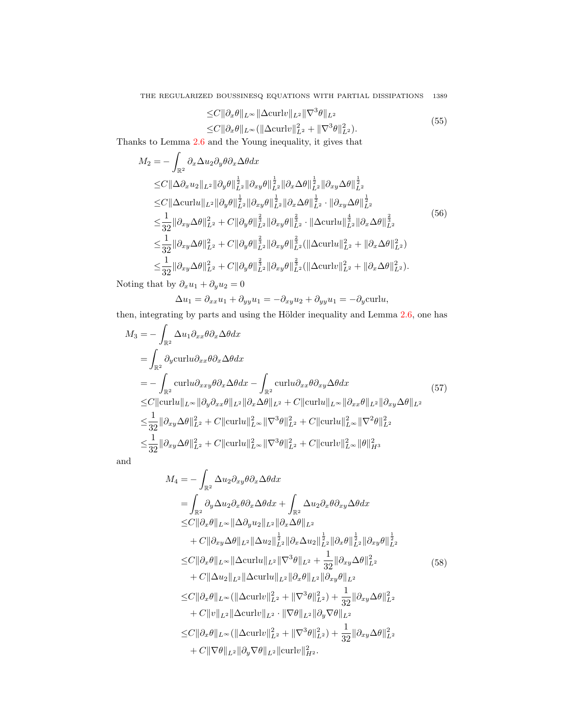$$
\leq C \|\partial_x \theta\|_{L^\infty} \|\Delta \operatorname{curl} v\|_{L^2} \|\nabla^3 \theta\|_{L^2}
$$
  

$$
\leq C \|\partial_x \theta\|_{L^\infty} (\|\Delta \operatorname{curl} v\|_{L^2}^2 + \|\nabla^3 \theta\|_{L^2}^2).
$$
 (55)

<span id="page-14-0"></span>Thanks to Lemma [2.6](#page-4-4) and the Young inequality, it gives that

$$
M_{2} = -\int_{\mathbb{R}^{2}} \partial_{x} \Delta u_{2} \partial_{y} \theta \partial_{x} \Delta \theta dx
$$
  
\n
$$
\leq C \|\Delta \partial_{x} u_{2}\|_{L^{2}} \|\partial_{y} \theta\|_{L^{2}}^{\frac{1}{2}} \|\partial_{xy} \theta\|_{L^{2}}^{\frac{1}{2}} \|\partial_{x} \Delta \theta\|_{L^{2}}^{\frac{1}{2}} \|\partial_{xy} \Delta \theta\|_{L^{2}}^{\frac{1}{2}}
$$
  
\n
$$
\leq C \|\Delta \operatorname{curl} u\|_{L^{2}} \|\partial_{y} \theta\|_{L^{2}}^{\frac{1}{2}} \|\partial_{xy} \theta\|_{L^{2}}^{\frac{1}{2}} \|\partial_{x} \Delta \theta\|_{L^{2}}^{\frac{1}{2}} \cdot \|\partial_{xy} \Delta \theta\|_{L^{2}}^{\frac{1}{2}}
$$
  
\n
$$
\leq \frac{1}{32} \|\partial_{xy} \Delta \theta\|_{L^{2}}^{2} + C \|\partial_{y} \theta\|_{L^{2}}^{\frac{2}{3}} \|\partial_{xy} \theta\|_{L^{2}}^{\frac{2}{3}} \cdot \|\Delta \operatorname{curl} u\|_{L^{2}}^{\frac{4}{3}} \|\partial_{x} \Delta \theta\|_{L^{2}}^{\frac{2}{3}}
$$
  
\n
$$
\leq \frac{1}{32} \|\partial_{xy} \Delta \theta\|_{L^{2}}^{2} + C \|\partial_{y} \theta\|_{L^{2}}^{\frac{2}{3}} \|\partial_{xy} \theta\|_{L^{2}}^{\frac{2}{3}} (\|\Delta \operatorname{curl} u\|_{L^{2}}^{2} + \|\partial_{x} \Delta \theta\|_{L^{2}}^{2})
$$
  
\n
$$
\leq \frac{1}{32} \|\partial_{xy} \Delta \theta\|_{L^{2}}^{2} + C \|\partial_{y} \theta\|_{L^{2}}^{\frac{2}{3}} \|\partial_{xy} \theta\|_{L^{2}}^{\frac{2}{3}} (\|\Delta \operatorname{curl} v\|_{L^{2}}^{2} + \|\partial_{x} \Delta \theta\|_{L^{2}}^{2}).
$$
  
\n(56)

Noting that by  $\partial_x u_1 + \partial_y u_2 = 0$ 

$$
\Delta u_1 = \partial_{xx} u_1 + \partial_{yy} u_1 = -\partial_{xy} u_2 + \partial_{yy} u_1 = -\partial_y \text{curl} u,
$$

then, integrating by parts and using the Hölder inequality and Lemma  $2.6$ , one has

$$
M_3 = -\int_{\mathbb{R}^2} \Delta u_1 \partial_{xx} \theta \partial_x \Delta \theta dx
$$
  
\n
$$
= \int_{\mathbb{R}^2} \partial_y \operatorname{curl} u \partial_{xx} \theta \partial_x \Delta \theta dx
$$
  
\n
$$
= -\int_{\mathbb{R}^2} \operatorname{curl} u \partial_{xxy} \theta \partial_x \Delta \theta dx - \int_{\mathbb{R}^2} \operatorname{curl} u \partial_{xx} \theta \partial_{xy} \Delta \theta dx
$$
  
\n
$$
\leq C \|\operatorname{curl} u\|_{L^\infty} \|\partial_y \partial_{xx} \theta\|_{L^2} \|\partial_x \Delta \theta\|_{L^2} + C \|\operatorname{curl} u\|_{L^\infty} \|\partial_{xx} \theta\|_{L^2} \|\partial_{xy} \Delta \theta\|_{L^2}
$$
  
\n
$$
\leq \frac{1}{32} \|\partial_{xy} \Delta \theta\|_{L^2}^2 + C \|\operatorname{curl} u\|_{L^\infty}^2 \|\nabla^3 \theta\|_{L^2}^2 + C \|\operatorname{curl} u\|_{L^\infty}^2 \|\nabla^2 \theta\|_{L^2}^2
$$
  
\n
$$
\leq \frac{1}{32} \|\partial_{xy} \Delta \theta\|_{L^2}^2 + C \|\operatorname{curl} u\|_{L^\infty}^2 \|\nabla^3 \theta\|_{L^2}^2 + C \|\operatorname{curl} v\|_{L^\infty}^2 \|\theta\|_{H^3}^2
$$

<span id="page-14-1"></span>
$$
M_{4} = -\int_{\mathbb{R}^{2}} \Delta u_{2} \partial_{xy} \theta \partial_{x} \Delta \theta dx
$$
\n
$$
= \int_{\mathbb{R}^{2}} \partial_{y} \Delta u_{2} \partial_{x} \theta \partial_{x} \Delta \theta dx + \int_{\mathbb{R}^{2}} \Delta u_{2} \partial_{x} \theta \partial_{xy} \Delta \theta dx
$$
\n
$$
\leq C \|\partial_{x} \theta\|_{L^{\infty}} \|\Delta \partial_{y} u_{2}\|_{L^{2}} \|\partial_{x} \Delta \theta\|_{L^{2}}
$$
\n
$$
+ C \|\partial_{xy} \Delta \theta\|_{L^{2}} \|\Delta u_{2}\|_{L^{2}}^{\frac{1}{2}} \|\partial_{x} \Delta u_{2}\|_{L^{2}}^{\frac{1}{2}} \|\partial_{x} \theta\|_{L^{2}}^{\frac{1}{2}} \|\partial_{xy} \theta\|_{L^{2}}^{\frac{1}{2}}
$$
\n
$$
\leq C \|\partial_{x} \theta\|_{L^{\infty}} \|\Delta \operatorname{curl} u\|_{L^{2}} \|\nabla^{3} \theta\|_{L^{2}} + \frac{1}{32} \|\partial_{xy} \Delta \theta\|_{L^{2}}^{2}
$$
\n
$$
\leq C \|\partial_{x} \theta\|_{L^{\infty}} \|\Delta \operatorname{curl} u\|_{L^{2}} \|\partial_{x} \theta\|_{L^{2}} \|\partial_{xy} \theta\|_{L^{2}}
$$
\n
$$
\leq C \|\partial_{x} \theta\|_{L^{\infty}} (\|\Delta \operatorname{curl} v\|_{L^{2}}^{2} + \|\nabla^{3} \theta\|_{L^{2}}^{2}) + \frac{1}{32} \|\partial_{xy} \Delta \theta\|_{L^{2}}^{2}
$$
\n
$$
+ C \|v\|_{L^{2}} \|\Delta \operatorname{curl} v\|_{L^{2}} \cdot \|\nabla \theta\|_{L^{2}} \|\partial_{y} \nabla \theta\|_{L^{2}}
$$
\n
$$
\leq C \|\partial_{x} \theta\|_{L^{\infty}} (\|\Delta \operatorname{curl} v\|_{L^{2}}^{2} + \|\nabla^{3} \theta\|_{L^{2}}^{2}) + \frac{1}{32} \|\partial_{xy} \Delta \theta\|_{L^{2}}^{2}
$$
\n<math display="</math>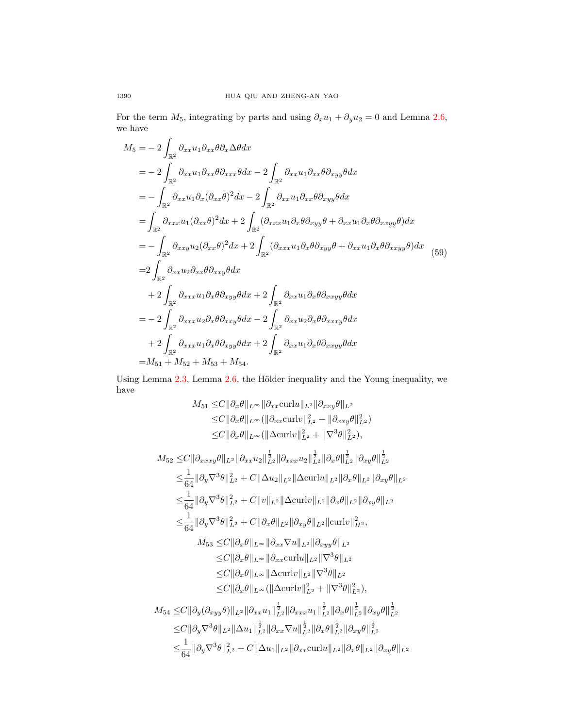For the term  $M_5$ , integrating by parts and using  $\partial_x u_1 + \partial_y u_2 = 0$  and Lemma [2.6,](#page-4-4) we have

<span id="page-15-0"></span>
$$
M_5 = -2 \int_{\mathbb{R}^2} \partial_{xx} u_1 \partial_{xx} \theta \partial_x \Delta \theta dx
$$
  
\n
$$
= -2 \int_{\mathbb{R}^2} \partial_{xx} u_1 \partial_{xx} \theta \partial_{xxx} \theta dx - 2 \int_{\mathbb{R}^2} \partial_{xx} u_1 \partial_{xx} \theta \partial_{xyy} \theta dx
$$
  
\n
$$
= -\int_{\mathbb{R}^2} \partial_{xx} u_1 \partial_x (\partial_{xx} \theta)^2 dx - 2 \int_{\mathbb{R}^2} \partial_{xx} u_1 \partial_{xx} \theta \partial_{xyy} \theta dx
$$
  
\n
$$
= \int_{\mathbb{R}^2} \partial_{xxx} u_1 (\partial_{xx} \theta)^2 dx + 2 \int_{\mathbb{R}^2} (\partial_{xxx} u_1 \partial_x \theta \partial_{xyy} \theta + \partial_{xx} u_1 \partial_x \theta \partial_{xxyy} \theta) dx
$$
  
\n
$$
= -\int_{\mathbb{R}^2} \partial_{xx} u_2 (\partial_{xx} \theta)^2 dx + 2 \int_{\mathbb{R}^2} (\partial_{xxx} u_1 \partial_x \theta \partial_{xyy} \theta + \partial_{xx} u_1 \partial_x \theta \partial_{xxyy} \theta) dx
$$
  
\n
$$
= 2 \int_{\mathbb{R}^2} \partial_{xx} u_2 \partial_{xx} \theta \partial_{xxy} \theta dx
$$
  
\n
$$
+ 2 \int_{\mathbb{R}^2} \partial_{xxx} u_1 \partial_x \theta \partial_{xyy} \theta dx + 2 \int_{\mathbb{R}^2} \partial_{xx} u_1 \partial_x \theta \partial_{xxyy} \theta dx
$$
  
\n
$$
= -2 \int_{\mathbb{R}^2} \partial_{xxx} u_2 \partial_x \theta \partial_{xxy} \theta dx - 2 \int_{\mathbb{R}^2} \partial_{xx} u_2 \partial_x \theta \partial_{xxxy} \theta dx
$$
  
\n
$$
+ 2 \int_{\mathbb{R}^2} \partial_{xxx} u_1 \partial_x \theta \partial_{xyy} \theta dx + 2 \int_{\mathbb{R}^2} \partial_{xx} u_1 \partial_x \theta \partial_{xxyy} \theta dx
$$
  
\n
$$
= M_{51} + M_{52
$$

Using Lemma  $2.3$ , Lemma  $2.6$ , the Hölder inequality and the Young inequality, we have

$$
M_{51} \leq C \|\partial_x \theta\|_{L^{\infty}} \|\partial_{xx} \text{curl} u\|_{L^2} \|\partial_{xxy} \theta\|_{L^2}
$$
  
\n
$$
\leq C \|\partial_x \theta\|_{L^{\infty}} (\|\partial_{xx} \text{curl} v\|_{L^2}^2 + \|\partial_{xxy} \theta\|_{L^2}^2)
$$
  
\n
$$
\leq C \|\partial_x \theta\|_{L^{\infty}} (\|\Delta \text{curl} v\|_{L^2}^2 + \|\nabla^3 \theta\|_{L^2}^2),
$$
  
\n
$$
M_{52} \leq C \|\partial_{xxxy} \theta\|_{L^2} \|\partial_{xx} u_2\|_{L^2}^{\frac{1}{2}} \|\partial_{xxx} u_2\|_{L^2}^{\frac{1}{2}} \|\partial_x \theta\|_{L^2}^{\frac{1}{2}} \|\partial_x \theta\|_{L^2}^{\frac{1}{2}}
$$
  
\n
$$
\leq \frac{1}{64} \|\partial_y \nabla^3 \theta\|_{L^2}^2 + C \|\Delta u_2\|_{L^2} \|\Delta \text{curl} u\|_{L^2} \|\partial_x \theta\|_{L^2} \|\partial_{xy} \theta\|_{L^2}
$$
  
\n
$$
\leq \frac{1}{64} \|\partial_y \nabla^3 \theta\|_{L^2}^2 + C \|v\|_{L^2} \|\Delta \text{curl} v\|_{L^2} \|\partial_x \theta\|_{L^2} \|\partial_{xy} \theta\|_{L^2}
$$
  
\n
$$
\leq \frac{1}{64} \|\partial_y \nabla^3 \theta\|_{L^2}^2 + C \|\partial_x \theta\|_{L^2} \|\Delta \text{curl} v\|_{L^2} \|\partial_x \theta\|_{L^2} \|\partial_x \theta\|_{L^2}
$$
  
\n
$$
\leq C \|\partial_x \theta\|_{L^{\infty}} \|\partial_{xx} \nabla u\|_{L^2} \|\partial_x \theta\|_{L^2}
$$
  
\n
$$
\leq C \|\partial_x \theta\|_{L^{\infty}} \|\Delta \text{curl} v\|_{L^2} \|\nabla^3 \theta\|_{L^2}
$$
  
\n
$$
\leq C \|\partial
$$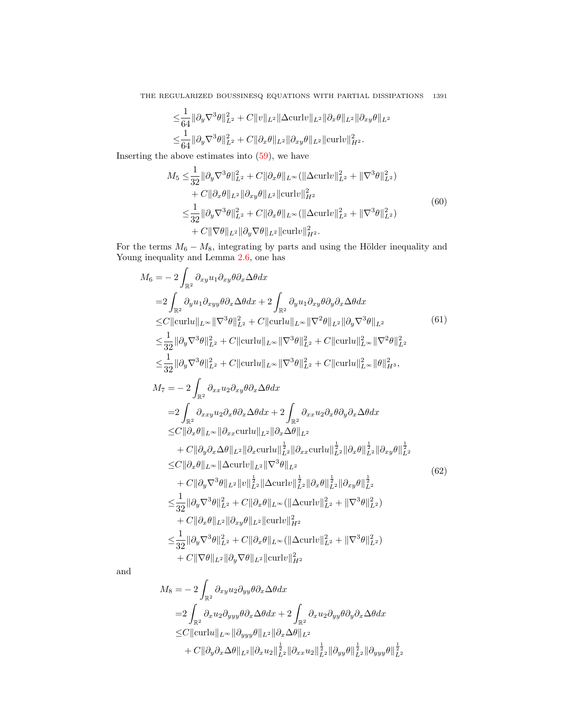$$
\leq \frac{1}{64} \|\partial_y \nabla^3 \theta\|_{L^2}^2 + C \|v\|_{L^2} \|\Delta \text{curl} v\|_{L^2} \|\partial_x \theta\|_{L^2} \|\partial_{xy} \theta\|_{L^2} \leq \frac{1}{64} \|\partial_y \nabla^3 \theta\|_{L^2}^2 + C \|\partial_x \theta\|_{L^2} \|\partial_{xy} \theta\|_{L^2} \|\text{curl} v\|_{H^2}^2.
$$

<span id="page-16-0"></span>Inserting the above estimates into  $(59)$ , we have

$$
M_5 \leq \frac{1}{32} ||\partial_y \nabla^3 \theta||_{L^2}^2 + C ||\partial_x \theta||_{L^\infty} (||\Delta \operatorname{curl} v||_{L^2}^2 + ||\nabla^3 \theta||_{L^2}^2) + C ||\partial_x \theta||_{L^2} ||\partial_{xy} \theta||_{L^2} ||\operatorname{curl} v||_{H^2}^2 \leq \frac{1}{32} ||\partial_y \nabla^3 \theta||_{L^2}^2 + C ||\partial_x \theta||_{L^\infty} (||\Delta \operatorname{curl} v||_{L^2}^2 + ||\nabla^3 \theta||_{L^2}^2) + C ||\nabla \theta||_{L^2} ||\partial_y \nabla \theta||_{L^2} ||\operatorname{curl} v||_{H^2}^2.
$$
\n(60)

For the terms  $M_6 - M_8$ , integrating by parts and using the Hölder inequality and Young inequality and Lemma [2.6,](#page-4-4) one has

$$
M_{6} = -2 \int_{\mathbb{R}^{2}} \partial_{xy} u_{1} \partial_{xy} \theta \partial_{x} \Delta \theta dx
$$
  
\n
$$
=2 \int_{\mathbb{R}^{2}} \partial_{y} u_{1} \partial_{xyy} \theta \partial_{x} \Delta \theta dx + 2 \int_{\mathbb{R}^{2}} \partial_{y} u_{1} \partial_{xy} \theta \partial_{y} \partial_{x} \Delta \theta dx
$$
  
\n
$$
\leq C ||curlu||_{L^{\infty}} ||\nabla^{3} \theta||_{L^{2}}^{2} + C ||curlu||_{L^{\infty}} ||\nabla^{2} \theta||_{L^{2}} ||\partial_{y} \nabla^{3} \theta||_{L^{2}}^{2}
$$
(61)  
\n
$$
\leq \frac{1}{32} ||\partial_{y} \nabla^{3} \theta||_{L^{2}}^{2} + C ||curlu||_{L^{\infty}} ||\nabla^{3} \theta||_{L^{2}}^{2} + C ||curlu||_{L^{\infty}} ||\nabla^{2} \theta||_{L^{2}}^{2}
$$
  
\n
$$
\leq \frac{1}{32} ||\partial_{y} \nabla^{3} \theta||_{L^{2}}^{2} + C ||curlu||_{L^{\infty}} ||\nabla^{3} \theta||_{L^{2}}^{2} + C ||curlu||_{L^{\infty}} ||\theta||_{H^{3}}^{2},
$$
  
\n
$$
M_{7} = -2 \int_{\mathbb{R}^{2}} \partial_{xx} u_{2} \partial_{xy} \theta \partial_{x} \Delta \theta dx
$$
  
\n
$$
=2 \int_{\mathbb{R}^{2}} \partial_{xx} u_{2} \partial_{xy} \theta \partial_{x} \Delta \theta dx + 2 \int_{\mathbb{R}^{2}} \partial_{xx} u_{2} \partial_{x} \theta \partial_{y} \partial_{x} \Delta \theta dx
$$
  
\n
$$
\leq C ||\partial_{x} \theta||_{L^{\infty}} ||\partial_{xx} curlu||_{L^{2}} ||\partial_{x} \Delta \theta||_{L^{2}}
$$
  
\n
$$
+ C ||\partial_{y} \partial_{x} \Delta \theta||_{L^{2}} ||\partial_{x} curlu||_{L^{2}}^{1} ||\partial_{xx} curlu||_{L^{2}}^{1} ||\partial_{x} \theta||_{L^{2}}^{1} ||\
$$

$$
M_8 = -2 \int_{\mathbb{R}^2} \partial_{xy} u_2 \partial_{yy} \theta \partial_x \Delta \theta dx
$$
  
\n
$$
= 2 \int_{\mathbb{R}^2} \partial_x u_2 \partial_{yyy} \theta \partial_x \Delta \theta dx + 2 \int_{\mathbb{R}^2} \partial_x u_2 \partial_{yy} \theta \partial_y \partial_x \Delta \theta dx
$$
  
\n
$$
\leq C ||curlu||_{L^{\infty}} ||\partial_{yyy} \theta ||_{L^2} ||\partial_x \Delta \theta ||_{L^2}
$$
  
\n
$$
+ C ||\partial_y \partial_x \Delta \theta ||_{L^2} ||\partial_x u_2||_{L^2}^{\frac{1}{2}} ||\partial_{xx} u_2||_{L^2}^{\frac{1}{2}} ||\partial_{yy} \theta ||_{L^2}^{\frac{1}{2}} ||\partial_{yyy} \theta ||_{L^2}^{\frac{1}{2}}
$$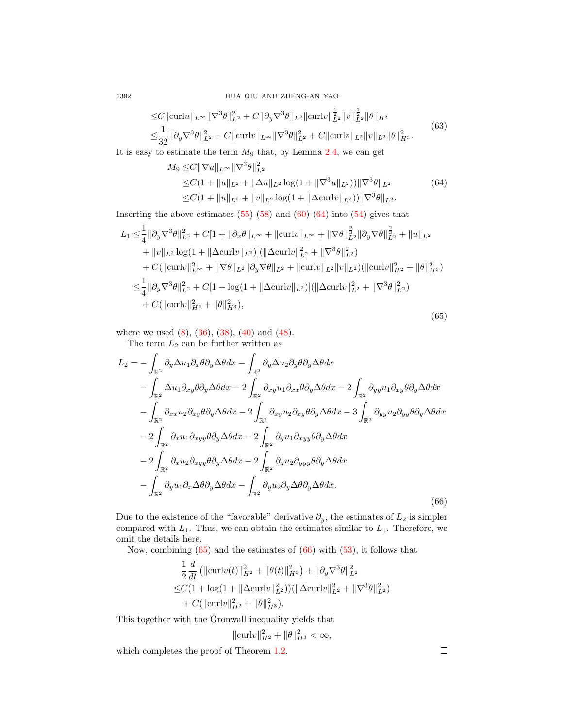1392 HUA QIU AND ZHENG-AN YAO

$$
\leq C \|\mathrm{curl}u\|_{L^{\infty}} \|\nabla^{3}\theta\|_{L^{2}}^{2} + C \|\partial_{y}\nabla^{3}\theta\|_{L^{2}} \|\mathrm{curl}v\|_{L^{2}}^{\frac{1}{2}} \|v\|_{L^{2}}^{\frac{1}{2}} \|\theta\|_{H^{3}} \leq \frac{1}{32} \|\partial_{y}\nabla^{3}\theta\|_{L^{2}}^{2} + C \|\mathrm{curl}v\|_{L^{\infty}} \|\nabla^{3}\theta\|_{L^{2}}^{2} + C \|\mathrm{curl}v\|_{L^{2}} \|v\|_{L^{2}} \|\theta\|_{H^{3}}^{2}.
$$
\n(63)

1

<span id="page-17-0"></span>It is easy to estimate the term  $M_9$  that, by Lemma [2.4,](#page-4-2) we can get

$$
M_9 \leq C \|\nabla u\|_{L^\infty} \|\nabla^3 \theta\|_{L^2}^2
$$
  
\n
$$
\leq C(1 + \|u\|_{L^2} + \|\Delta u\|_{L^2} \log(1 + \|\nabla^3 u\|_{L^2})) \|\nabla^3 \theta\|_{L^2}
$$
  
\n
$$
\leq C(1 + \|u\|_{L^2} + \|v\|_{L^2} \log(1 + \|\Delta \operatorname{curl} v\|_{L^2})) \|\nabla^3 \theta\|_{L^2}.
$$
 (64)

Inserting the above estimates  $(55)-(58)$  $(55)-(58)$  $(55)-(58)$  and  $(60)-(64)$  $(60)-(64)$  $(60)-(64)$  into  $(54)$  gives that

<span id="page-17-1"></span>
$$
L_1 \leq \frac{1}{4} ||\partial_y \nabla^3 \theta||_{L^2}^2 + C[1 + ||\partial_x \theta||_{L^{\infty}} + ||\text{curl}v||_{L^{\infty}} + ||\nabla \theta||_{L^2}^{\frac{2}{3}} ||\partial_y \nabla \theta||_{L^2}^{\frac{2}{3}} + ||u||_{L^2} + ||v||_{L^2} \log(1 + ||\Delta \text{curl}v||_{L^2})] (||\Delta \text{curl}v||_{L^2}^2 + ||\nabla^3 \theta||_{L^2}^2) + C(||\text{curl}v||_{L^{\infty}}^2 + ||\nabla \theta||_{L^2} ||\partial_y \nabla \theta||_{L^2} + ||\text{curl}v||_{L^2} ||v||_{L^2}) (||\text{curl}v||_{H^2}^2 + ||\theta||_{H^3}^2) \n\leq \frac{1}{4} ||\partial_y \nabla^3 \theta||_{L^2}^2 + C[1 + \log(1 + ||\Delta \text{curl}v||_{L^2})] (||\Delta \text{curl}v||_{L^2}^2 + ||\nabla^3 \theta||_{L^2}^2) + C(||\text{curl}v||_{H^2}^2 + ||\theta||_{H^3}^2),
$$
\n(65)

where we used [\(8\)](#page-3-2), [\(36\)](#page-10-1), [\(38\)](#page-11-5), [\(40\)](#page-11-4) and [\(48\)](#page-12-2).

The term  $L_2$  can be further written as

<span id="page-17-2"></span>
$$
L_{2} = -\int_{\mathbb{R}^{2}} \partial_{y} \Delta u_{1} \partial_{x} \theta \partial_{y} \Delta \theta dx - \int_{\mathbb{R}^{2}} \partial_{y} \Delta u_{2} \partial_{y} \theta \partial_{y} \Delta \theta dx
$$
  

$$
- \int_{\mathbb{R}^{2}} \Delta u_{1} \partial_{xy} \theta \partial_{y} \Delta \theta dx - 2 \int_{\mathbb{R}^{2}} \partial_{xy} u_{1} \partial_{xx} \theta \partial_{y} \Delta \theta dx - 2 \int_{\mathbb{R}^{2}} \partial_{yy} u_{1} \partial_{xy} \theta \partial_{y} \Delta \theta dx
$$
  

$$
- \int_{\mathbb{R}^{2}} \partial_{xx} u_{2} \partial_{xy} \theta \partial_{y} \Delta \theta dx - 2 \int_{\mathbb{R}^{2}} \partial_{xy} u_{2} \partial_{xy} \theta \partial_{y} \Delta \theta dx - 3 \int_{\mathbb{R}^{2}} \partial_{yy} u_{2} \partial_{yy} \theta \partial_{y} \Delta \theta dx
$$
  

$$
- 2 \int_{\mathbb{R}^{2}} \partial_{x} u_{1} \partial_{xyy} \theta \partial_{y} \Delta \theta dx - 2 \int_{\mathbb{R}^{2}} \partial_{y} u_{1} \partial_{xyy} \theta \partial_{y} \Delta \theta dx
$$
  

$$
- 2 \int_{\mathbb{R}^{2}} \partial_{x} u_{2} \partial_{xyy} \theta \partial_{y} \Delta \theta dx - 2 \int_{\mathbb{R}^{2}} \partial_{y} u_{2} \partial_{yyy} \theta \partial_{y} \Delta \theta dx
$$
  

$$
- \int_{\mathbb{R}^{2}} \partial_{y} u_{1} \partial_{x} \Delta \theta \partial_{y} \Delta \theta dx - \int_{\mathbb{R}^{2}} \partial_{y} u_{2} \partial_{y} \Delta \theta \partial_{y} \Delta \theta dx.
$$
  
(66)

Due to the existence of the "favorable" derivative  $\partial_y$ , the estimates of  $L_2$  is simpler compared with  $L_1$ . Thus, we can obtain the estimates similar to  $L_1$ . Therefore, we omit the details here.

Now, combining  $(65)$  and the estimates of  $(66)$  with  $(53)$ , it follows that

$$
\frac{1}{2}\frac{d}{dt}\left(\|\text{curl}v(t)\|_{H^2}^2 + \|\theta(t)\|_{H^3}^2\right) + \|\partial_y\nabla^3\theta\|_{L^2}^2
$$
  
\n
$$
\leq C(1 + \log(1 + \|\Delta \text{curl}v\|_{L^2}^2))(\|\Delta \text{curl}v\|_{L^2}^2 + \|\nabla^3\theta\|_{L^2}^2)
$$
  
\n
$$
+ C(\|\text{curl}v\|_{H^2}^2 + \|\theta\|_{H^3}^2).
$$

This together with the Gronwall inequality yields that

$$
\|\mathrm{curl}v\|_{H^2}^2 + \|\theta\|_{H^3}^2 < \infty,
$$

which completes the proof of Theorem [1.2.](#page-3-3)

 $\Box$ 

$$
^{1392}
$$

 $\overline{1}$